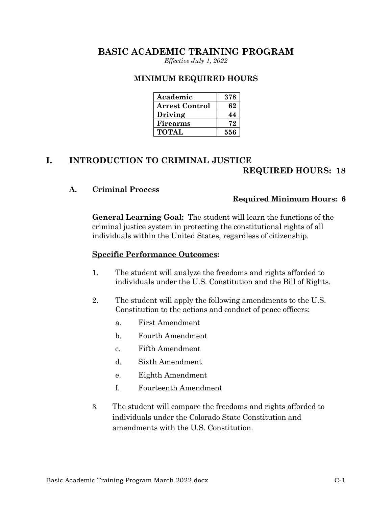# **BASIC ACADEMIC TRAINING PROGRAM**

*Effective July 1, 2022*

#### **MINIMUM REQUIRED HOURS**

| Academic              | 378 |
|-----------------------|-----|
| <b>Arrest Control</b> | 62  |
| Driving               | 44  |
| Firearms              | 79. |
| <b>TOTAL</b>          | 556 |

# **I. INTRODUCTION TO CRIMINAL JUSTICE REQUIRED HOURS: 18**

#### **A. Criminal Process**

#### **Required Minimum Hours: 6**

**General Learning Goal:** The student will learn the functions of the criminal justice system in protecting the constitutional rights of all individuals within the United States, regardless of citizenship.

- 1. The student will analyze the freedoms and rights afforded to individuals under the U.S. Constitution and the Bill of Rights.
- 2. The student will apply the following amendments to the U.S. Constitution to the actions and conduct of peace officers:
	- a. First Amendment
	- b. Fourth Amendment
	- c. Fifth Amendment
	- d. Sixth Amendment
	- e. Eighth Amendment
	- f. Fourteenth Amendment
- 3. The student will compare the freedoms and rights afforded to individuals under the Colorado State Constitution and amendments with the U.S. Constitution.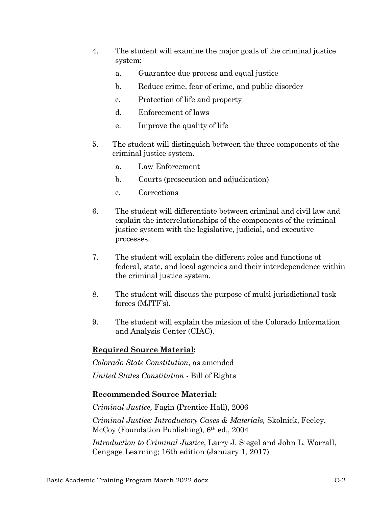- 4. The student will examine the major goals of the criminal justice system:
	- a. Guarantee due process and equal justice
	- b. Reduce crime, fear of crime, and public disorder
	- c. Protection of life and property
	- d. Enforcement of laws
	- e. Improve the quality of life
- 5. The student will distinguish between the three components of the criminal justice system.
	- a. Law Enforcement
	- b. Courts (prosecution and adjudication)
	- c. Corrections
- 6. The student will differentiate between criminal and civil law and explain the interrelationships of the components of the criminal justice system with the legislative, judicial, and executive processes.
- 7. The student will explain the different roles and functions of federal, state, and local agencies and their interdependence within the criminal justice system.
- 8. The student will discuss the purpose of multi-jurisdictional task forces (MJTF's).
- 9. The student will explain the mission of the Colorado Information and Analysis Center (CIAC).

*Colorado State Constitution*, as amended *United States Constitution -* Bill of Rights

# **Recommended Source Material:**

*Criminal Justice,* Fagin (Prentice Hall), 2006

*Criminal Justice: Introductory Cases & Materials,* Skolnick, Feeley, McCoy (Foundation Publishing), 6<sup>th</sup> ed., 2004

*Introduction to Criminal Justice*, Larry J. Siegel and John L. Worrall, Cengage Learning; 16th edition (January 1, 2017)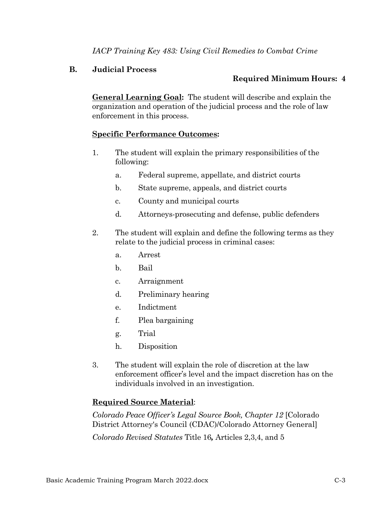*IACP Training Key 483: Using Civil Remedies to Combat Crime*

### **B. Judicial Process**

# **Required Minimum Hours: 4**

**General Learning Goal:** The student will describe and explain the organization and operation of the judicial process and the role of law enforcement in this process.

### **Specific Performance Outcomes:**

- 1. The student will explain the primary responsibilities of the following:
	- a. Federal supreme, appellate, and district courts
	- b. State supreme, appeals, and district courts
	- c. County and municipal courts
	- d. Attorneys-prosecuting and defense, public defenders
- 2. The student will explain and define the following terms as they relate to the judicial process in criminal cases:
	- a. Arrest
	- b. Bail
	- c. Arraignment
	- d. Preliminary hearing
	- e. Indictment
	- f. Plea bargaining
	- g. Trial
	- h. Disposition
- 3. The student will explain the role of discretion at the law enforcement officer's level and the impact discretion has on the individuals involved in an investigation.

# **Required Source Material**:

*Colorado Peace Officer's Legal Source Book, Chapter 12* [Colorado District Attorney's Council (CDAC)/Colorado Attorney General]

*Colorado Revised Statutes* Title 16*,* Articles 2,3,4, and 5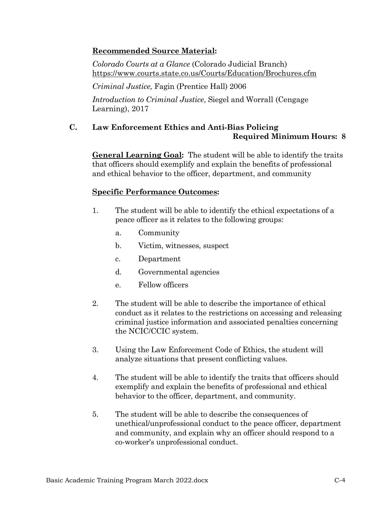# **Recommended Source Material:**

*Colorado Courts at a Glance* (Colorado Judicial Branch) <https://www.courts.state.co.us/Courts/Education/Brochures.cfm>

*Criminal Justice,* Fagin (Prentice Hall) 2006

*Introduction to Criminal Justice*, Siegel and Worrall (Cengage Learning), 2017

# **C. Law Enforcement Ethics and Anti-Bias Policing Required Minimum Hours: 8**

**General Learning Goal:** The student will be able to identify the traits that officers should exemplify and explain the benefits of professional and ethical behavior to the officer, department, and community

- 1. The student will be able to identify the ethical expectations of a peace officer as it relates to the following groups:
	- a. Community
	- b. Victim, witnesses, suspect
	- c. Department
	- d. Governmental agencies
	- e. Fellow officers
- 2. The student will be able to describe the importance of ethical conduct as it relates to the restrictions on accessing and releasing criminal justice information and associated penalties concerning the NCIC/CCIC system.
- 3. Using the Law Enforcement Code of Ethics, the student will analyze situations that present conflicting values.
- 4. The student will be able to identify the traits that officers should exemplify and explain the benefits of professional and ethical behavior to the officer, department, and community.
- 5. The student will be able to describe the consequences of unethical/unprofessional conduct to the peace officer, department and community, and explain why an officer should respond to a co-worker's unprofessional conduct.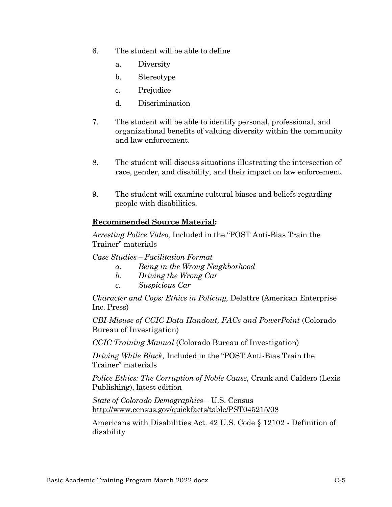- 6. The student will be able to define
	- a. Diversity
	- b. Stereotype
	- c. Prejudice
	- d. Discrimination
- 7. The student will be able to identify personal, professional, and organizational benefits of valuing diversity within the community and law enforcement.
- 8. The student will discuss situations illustrating the intersection of race, gender, and disability, and their impact on law enforcement.
- 9. The student will examine cultural biases and beliefs regarding people with disabilities.

### **Recommended Source Material:**

*Arresting Police Video,* Included in the "POST Anti-Bias Train the Trainer" materials

*Case Studies – Facilitation Format*

- *a. Being in the Wrong Neighborhood*
- *b. Driving the Wrong Car*
- *c. Suspicious Car*

*Character and Cops: Ethics in Policing,* Delattre (American Enterprise Inc. Press)

*CBI-Misuse of CCIC Data Handout, FACs and PowerPoint* (Colorado Bureau of Investigation)

*CCIC Training Manual* (Colorado Bureau of Investigation)

*Driving While Black,* Included in the "POST Anti-Bias Train the Trainer" materials

*Police Ethics: The Corruption of Noble Cause,* Crank and Caldero (Lexis Publishing), latest edition

*State of Colorado Demographics –* U.S. Census <http://www.census.gov/quickfacts/table/PST045215/08>

Americans with Disabilities Act. 42 U.S. Code § 12102 - Definition of disability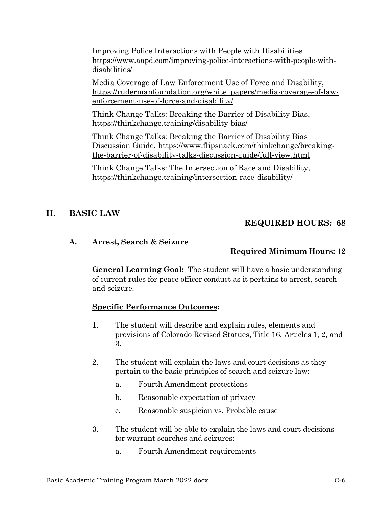Improving Police Interactions with People with Disabilities [https://www.aapd.com/improving-police-interactions-with-people-with](https://www.aapd.com/improving-police-interactions-with-people-with-disabilities/)[disabilities/](https://www.aapd.com/improving-police-interactions-with-people-with-disabilities/)

Media Coverage of Law Enforcement Use of Force and Disability, [https://rudermanfoundation.org/white\\_papers/media-coverage-of-law](https://rudermanfoundation.org/white_papers/media-coverage-of-law-enforcement-use-of-force-and-disability/)[enforcement-use-of-force-and-disability/](https://rudermanfoundation.org/white_papers/media-coverage-of-law-enforcement-use-of-force-and-disability/)

Think Change Talks: Breaking the Barrier of Disability Bias, https://thinkchange.training/disability-bias/

Think Change Talks: Breaking the Barrier of Disability Bias Discussion Guide, https://www.flipsnack.com/thinkchange/breakingthe-barrier-of-disability-talks-discussion-guide/full-view.html

Think Change Talks: The Intersection of Race and Disability, https://thinkchange.training/intersection-race-disability/

# **II. BASIC LAW**

# **REQUIRED HOURS: 68**

### **A. Arrest, Search & Seizure**

# **Required Minimum Hours: 12**

**General Learning Goal:** The student will have a basic understanding of current rules for peace officer conduct as it pertains to arrest, search and seizure.

- 1. The student will describe and explain rules, elements and provisions of Colorado Revised Statues, Title 16, Articles 1, 2, and 3.
- 2. The student will explain the laws and court decisions as they pertain to the basic principles of search and seizure law:
	- a. Fourth Amendment protections
	- b. Reasonable expectation of privacy
	- c. Reasonable suspicion vs. Probable cause
- 3. The student will be able to explain the laws and court decisions for warrant searches and seizures:
	- a. Fourth Amendment requirements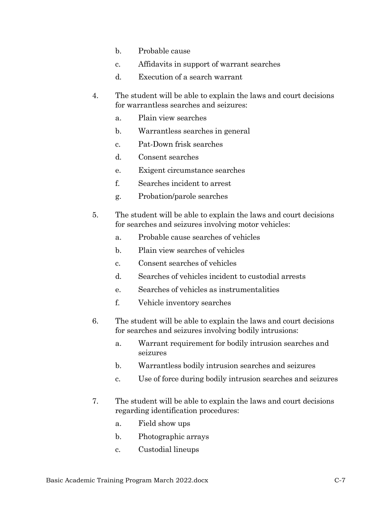- b. Probable cause
- c. Affidavits in support of warrant searches
- d. Execution of a search warrant
- 4. The student will be able to explain the laws and court decisions for warrantless searches and seizures:
	- a. Plain view searches
	- b. Warrantless searches in general
	- c. Pat-Down frisk searches
	- d. Consent searches
	- e. Exigent circumstance searches
	- f. Searches incident to arrest
	- g. Probation/parole searches
- 5. The student will be able to explain the laws and court decisions for searches and seizures involving motor vehicles:
	- a. Probable cause searches of vehicles
	- b. Plain view searches of vehicles
	- c. Consent searches of vehicles
	- d. Searches of vehicles incident to custodial arrests
	- e. Searches of vehicles as instrumentalities
	- f. Vehicle inventory searches
- 6. The student will be able to explain the laws and court decisions for searches and seizures involving bodily intrusions:
	- a. Warrant requirement for bodily intrusion searches and seizures
	- b. Warrantless bodily intrusion searches and seizures
	- c. Use of force during bodily intrusion searches and seizures
- 7. The student will be able to explain the laws and court decisions regarding identification procedures:
	- a. Field show ups
	- b. Photographic arrays
	- c. Custodial lineups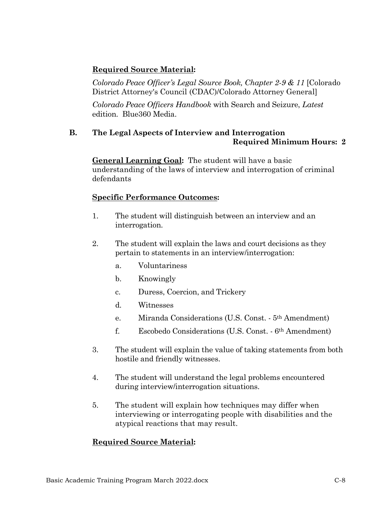*Colorado Peace Officer's Legal Source Book, Chapter 2-9 & 11* [Colorado District Attorney's Council (CDAC)/Colorado Attorney General]

*Colorado Peace Officers Handbook* with Search and Seizure, *Latest* edition. Blue360 Media.

### **B. The Legal Aspects of Interview and Interrogation Required Minimum Hours: 2**

**General Learning Goal:** The student will have a basic understanding of the laws of interview and interrogation of criminal defendants

# **Specific Performance Outcomes:**

- 1. The student will distinguish between an interview and an interrogation.
- 2. The student will explain the laws and court decisions as they pertain to statements in an interview/interrogation:
	- a. Voluntariness
	- b. Knowingly
	- c. Duress, Coercion, and Trickery
	- d. Witnesses
	- e. Miranda Considerations (U.S. Const. 5th Amendment)
	- f. Escobedo Considerations (U.S. Const. 6th Amendment)
- 3. The student will explain the value of taking statements from both hostile and friendly witnesses.
- 4. The student will understand the legal problems encountered during interview/interrogation situations.
- 5. The student will explain how techniques may differ when interviewing or interrogating people with disabilities and the atypical reactions that may result.

# **Required Source Material:**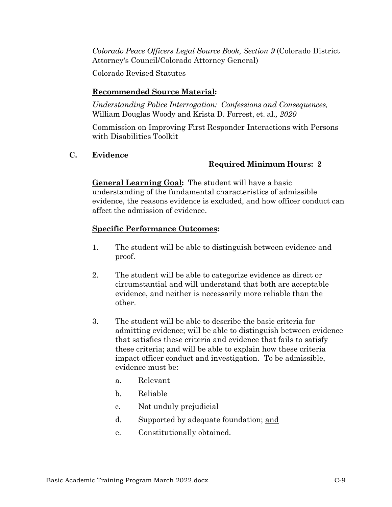*Colorado Peace Officers Legal Source Book, Section 9* (Colorado District Attorney's Council/Colorado Attorney General)

Colorado Revised Statutes

# **Recommended Source Material:**

*Understanding Police Interrogation: Confessions and Consequences,* William Douglas Woody and Krista D. Forrest, et. al*., 2020*

Commission on Improving First Responder Interactions with Persons with Disabilities Toolkit

**C. Evidence**

# **Required Minimum Hours: 2**

**General Learning Goal:** The student will have a basic understanding of the fundamental characteristics of admissible evidence, the reasons evidence is excluded, and how officer conduct can affect the admission of evidence.

- 1. The student will be able to distinguish between evidence and proof.
- 2. The student will be able to categorize evidence as direct or circumstantial and will understand that both are acceptable evidence, and neither is necessarily more reliable than the other.
- 3. The student will be able to describe the basic criteria for admitting evidence; will be able to distinguish between evidence that satisfies these criteria and evidence that fails to satisfy these criteria; and will be able to explain how these criteria impact officer conduct and investigation. To be admissible, evidence must be:
	- a. Relevant
	- b. Reliable
	- c. Not unduly prejudicial
	- d. Supported by adequate foundation; and
	- e. Constitutionally obtained.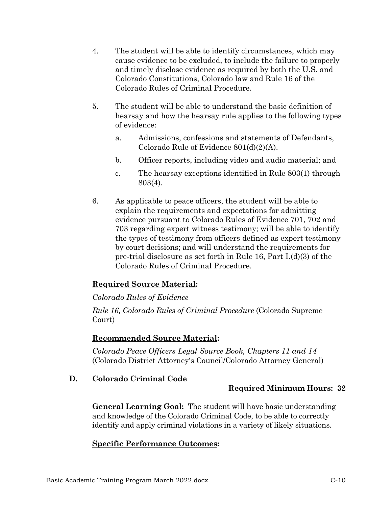- 4. The student will be able to identify circumstances, which may cause evidence to be excluded, to include the failure to properly and timely disclose evidence as required by both the U.S. and Colorado Constitutions, Colorado law and Rule 16 of the Colorado Rules of Criminal Procedure.
- 5. The student will be able to understand the basic definition of hearsay and how the hearsay rule applies to the following types of evidence:
	- a. Admissions, confessions and statements of Defendants, Colorado Rule of Evidence 801(d)(2)(A).
	- b. Officer reports, including video and audio material; and
	- c. The hearsay exceptions identified in Rule 803(1) through 803(4).
- 6. As applicable to peace officers, the student will be able to explain the requirements and expectations for admitting evidence pursuant to Colorado Rules of Evidence 701, 702 and 703 regarding expert witness testimony; will be able to identify the types of testimony from officers defined as expert testimony by court decisions; and will understand the requirements for pre-trial disclosure as set forth in Rule 16, Part I.(d)(3) of the Colorado Rules of Criminal Procedure.

# *Colorado Rules of Evidence*

*Rule 16, Colorado Rules of Criminal Procedure* (Colorado Supreme Court)

# **Recommended Source Material:**

*Colorado Peace Officers Legal Source Book, Chapters 11 and 14*  (Colorado District Attorney's Council/Colorado Attorney General)

# **D. Colorado Criminal Code**

# **Required Minimum Hours: 32**

**General Learning Goal:** The student will have basic understanding and knowledge of the Colorado Criminal Code, to be able to correctly identify and apply criminal violations in a variety of likely situations.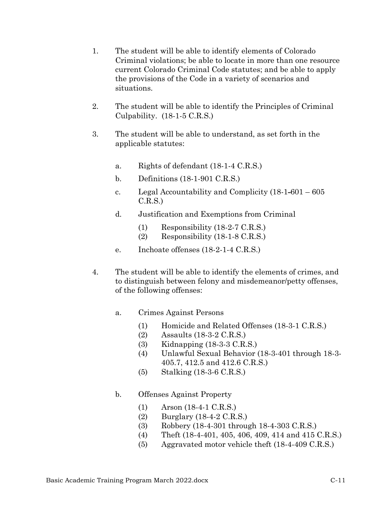- 1. The student will be able to identify elements of Colorado Criminal violations; be able to locate in more than one resource current Colorado Criminal Code statutes; and be able to apply the provisions of the Code in a variety of scenarios and situations.
- 2. The student will be able to identify the Principles of Criminal Culpability. (18-1-5 C.R.S.)
- 3. The student will be able to understand, as set forth in the applicable statutes:
	- a. Rights of defendant (18-1-4 C.R.S.)
	- b. Definitions (18-1-901 C.R.S.)
	- c. Legal Accountability and Complicity (18-1-601 605  $C.R.S.$
	- d. Justification and Exemptions from Criminal
		- (1) Responsibility (18-2-7 C.R.S.)
		- (2) Responsibility (18-1-8 C.R.S.)
	- e. Inchoate offenses (18-2-1-4 C.R.S.)
- 4. The student will be able to identify the elements of crimes, and to distinguish between felony and misdemeanor/petty offenses, of the following offenses:
	- a. Crimes Against Persons
		- (1) Homicide and Related Offenses (18-3-1 C.R.S.)
		- (2) Assaults (18-3-2 C.R.S.)
		- (3) Kidnapping (18-3-3 C.R.S.)
		- (4) Unlawful Sexual Behavior (18-3-401 through 18-3- 405.7, 412.5 and 412.6 C.R.S.)
		- (5) Stalking (18-3-6 C.R.S.)

# b. Offenses Against Property

- (1) Arson (18-4-1 C.R.S.)
- (2) Burglary (18-4-2 C.R.S.)
- (3) Robbery (18-4-301 through 18-4-303 C.R.S.)
- (4) Theft (18-4-401, 405, 406, 409, 414 and 415 C.R.S.)
- (5) Aggravated motor vehicle theft (18-4-409 C.R.S.)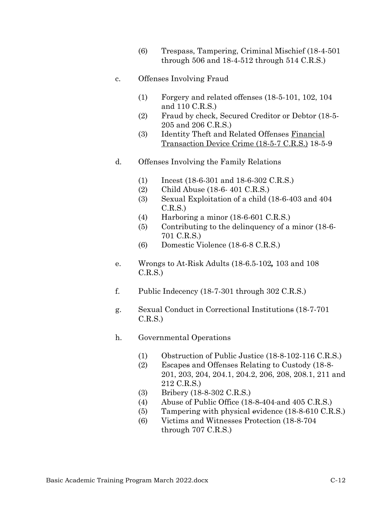- (6) Trespass, Tampering, Criminal Mischief (18-4-501 through 506 and 18-4-512 through 514 C.R.S.)
- c. Offenses Involving Fraud
	- (1) Forgery and related offenses (18-5-101, 102, 104 and 110 C.R.S.)
	- (2) Fraud by check, Secured Creditor or Debtor (18-5- 205 and 206 C.R.S.)
	- (3) Identity Theft and Related Offenses Financial Transaction Device Crime (18-5-7 C.R.S.) 18-5-9
- d. Offenses Involving the Family Relations
	- (1) Incest (18-6-301 and 18-6-302 C.R.S.)
	- (2) Child Abuse (18-6- 401 C.R.S.)
	- (3) Sexual Exploitation of a child (18-6-403 and 404 C.R.S.)
	- (4) Harboring a minor (18-6-601 C.R.S.)
	- (5) Contributing to the delinquency of a minor (18-6- 701 C.R.S.)
	- (6) Domestic Violence (18-6-8 C.R.S.)
- e. Wrongs to At-Risk Adults (18-6.5-102*,* 103 and 108 C.R.S.)
- f. Public Indecency (18-7-301 through 302 C.R.S.)
- g. Sexual Conduct in Correctional Institutions (18-7-701 C.R.S.)
- h. Governmental Operations
	- (1) Obstruction of Public Justice (18-8-102-116 C.R.S.)
	- (2) Escapes and Offenses Relating to Custody (18-8- 201, 203, 204, 204.1, 204.2, 206, 208, 208.1, 211 and 212 C.R.S.)
	- (3) Bribery (18-8-302 C.R.S.)
	- (4) Abuse of Public Office (18-8-404 and 405 C.R.S.)
	- (5) Tampering with physical evidence (18-8-610 C.R.S.)
	- (6) Victims and Witnesses Protection (18-8-704 through 707 C.R.S.)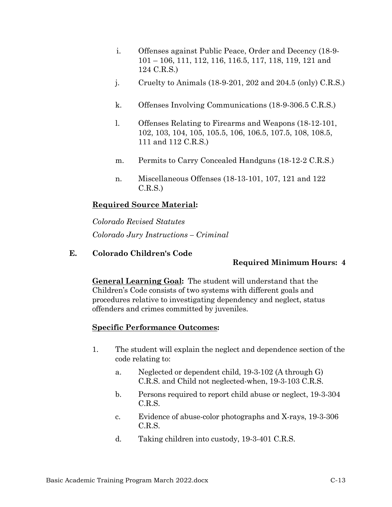- i. Offenses against Public Peace, Order and Decency (18-9- 101 – 106, 111, 112, 116, 116.5, 117, 118, 119, 121 and 124 C.R.S.)
- j. Cruelty to Animals (18-9-201, 202 and 204.5 (only) C.R.S.)
- k. Offenses Involving Communications (18-9-306.5 C.R.S.)
- l. Offenses Relating to Firearms and Weapons (18-12-101, 102, 103, 104, 105, 105.5, 106, 106.5, 107.5, 108, 108.5, 111 and 112 C.R.S.)
- m. Permits to Carry Concealed Handguns (18-12-2 C.R.S.)
- n. Miscellaneous Offenses (18-13-101, 107, 121 and 122 C.R.S.)

*Colorado Revised Statutes Colorado Jury Instructions – Criminal* 

### **E. Colorado Children's Code**

### **Required Minimum Hours: 4**

**General Learning Goal:** The student will understand that the Children's Code consists of two systems with different goals and procedures relative to investigating dependency and neglect, status offenders and crimes committed by juveniles.

- 1. The student will explain the neglect and dependence section of the code relating to:
	- a. Neglected or dependent child, 19-3-102 (A through G) C.R.S. and Child not neglected-when, 19-3-103 C.R.S.
	- b. Persons required to report child abuse or neglect, 19-3-304 C.R.S.
	- c. Evidence of abuse-color photographs and X-rays, 19-3-306 C.R.S.
	- d. Taking children into custody, 19-3-401 C.R.S.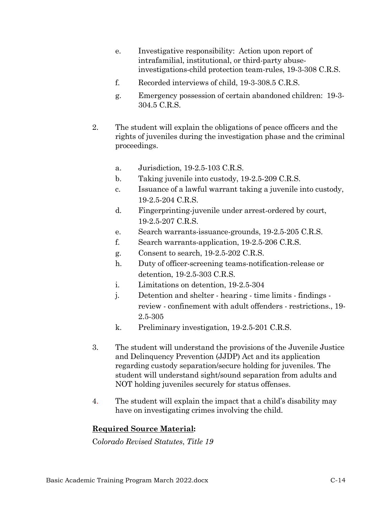- e. Investigative responsibility: Action upon report of intrafamilial, institutional, or third-party abuseinvestigations-child protection team-rules, 19-3-308 C.R.S.
- f. Recorded interviews of child, 19-3-308.5 C.R.S.
- g. Emergency possession of certain abandoned children: 19-3- 304.5 C.R.S.
- 2. The student will explain the obligations of peace officers and the rights of juveniles during the investigation phase and the criminal proceedings.
	- a. Jurisdiction, 19-2.5-103 C.R.S.
	- b. Taking juvenile into custody, 19-2.5-209 C.R.S.
	- c. Issuance of a lawful warrant taking a juvenile into custody, 19-2.5-204 C.R.S.
	- d. Fingerprinting-juvenile under arrest-ordered by court, 19-2.5-207 C.R.S.
	- e. Search warrants-issuance-grounds, 19-2.5-205 C.R.S.
	- f. Search warrants-application, 19-2.5-206 C.R.S.
	- g. Consent to search, 19-2.5-202 C.R.S.
	- h. Duty of officer-screening teams-notification-release or detention, 19-2.5-303 C.R.S.
	- i. Limitations on detention, 19-2.5-304
	- j. Detention and shelter hearing time limits findings review - confinement with adult offenders - restrictions., 19- 2.5-305
	- k. Preliminary investigation, 19-2.5-201 C.R.S.
- 3. The student will understand the provisions of the Juvenile Justice and Delinquency Prevention (JJDP) Act and its application regarding custody separation/secure holding for juveniles. The student will understand sight/sound separation from adults and NOT holding juveniles securely for status offenses.
- 4. The student will explain the impact that a child's disability may have on investigating crimes involving the child.

C*olorado Revised Statutes*, *Title 19*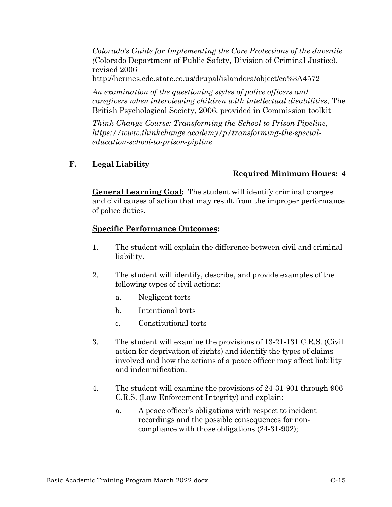*Colorado's Guide for Implementing the Core Protections of the Juvenile (*Colorado Department of Public Safety, Division of Criminal Justice), revised 2006

<http://hermes.cde.state.co.us/drupal/islandora/object/co%3A4572>

*An examination of the questioning styles of police officers and caregivers when interviewing children with intellectual disabilities*, The British Psychological Society, 2006, provided in Commission toolkit

*Think Change Course: Transforming the School to Prison Pipeline, https://www.thinkchange.academy/p/transforming-the-specialeducation-school-to-prison-pipline*

# **F. Legal Liability**

# **Required Minimum Hours: 4**

**General Learning Goal:** The student will identify criminal charges and civil causes of action that may result from the improper performance of police duties.

- 1. The student will explain the difference between civil and criminal liability.
- 2. The student will identify, describe, and provide examples of the following types of civil actions:
	- a. Negligent torts
	- b. Intentional torts
	- c. Constitutional torts
- 3. The student will examine the provisions of 13-21-131 C.R.S. (Civil action for deprivation of rights) and identify the types of claims involved and how the actions of a peace officer may affect liability and indemnification.
- 4. The student will examine the provisions of 24-31-901 through 906 C.R.S. (Law Enforcement Integrity) and explain:
	- a. A peace officer's obligations with respect to incident recordings and the possible consequences for noncompliance with those obligations (24-31-902);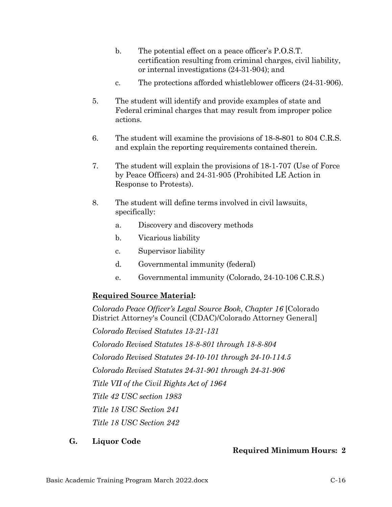- b. The potential effect on a peace officer's P.O.S.T. certification resulting from criminal charges, civil liability, or internal investigations (24-31-904); and
- c. The protections afforded whistleblower officers (24-31-906).
- 5. The student will identify and provide examples of state and Federal criminal charges that may result from improper police actions.
- 6. The student will examine the provisions of 18-8*-*801 to 804 C.R.S. and explain the reporting requirements contained therein.
- 7. The student will explain the provisions of 18-1-707 (Use of Force by Peace Officers) and 24-31-905 (Prohibited LE Action in Response to Protests).
- 8. The student will define terms involved in civil lawsuits, specifically:
	- a. Discovery and discovery methods
	- b. Vicarious liability
	- c. Supervisor liability
	- d. Governmental immunity (federal)
	- e. Governmental immunity (Colorado, 24-10-106 C.R.S.)

*Colorado Peace Officer's Legal Source Book*, *Chapter 16* [Colorado District Attorney's Council (CDAC)/Colorado Attorney General]

*Colorado Revised Statutes 13-21-131*

*Colorado Revised Statutes 18-8-801 through 18-8-804*

*Colorado Revised Statutes 24-10-101 through 24-10-114.5*

*Colorado Revised Statutes 24-31-901 through 24-31-906*

*Title VII of the Civil Rights Act of 1964*

*Title 42 USC section 1983*

*Title 18 USC Section 241*

*Title 18 USC Section 242*

# **G. Liquor Code**

# **Required Minimum Hours: 2**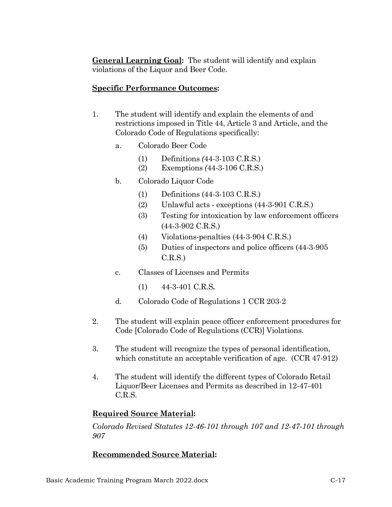**General Learning Goal:** The student will identify and explain violations of the Liquor and Beer Code.

### **Specific Performance Outcomes:**

- 1. The student will identify and explain the elements of and restrictions imposed in Title 44, Article 3 and Article, and the Colorado Code of Regulations specifically:
	- a. Colorado Beer Code
		- (1) Definitions *(*44-3-103 C.R.S.)
		- (2) Exemptions *(*44-3-106 C.R.S.)
	- b. Colorado Liquor Code
		- (1) Definitions (44-3-103 C.R.S.)
		- (2) Unlawful acts exceptions (44-3-901 C.R.S.)
		- (3) Testing for intoxication by law enforcement officers (44-3-902 C.R.S.)
		- (4) Violations-penalties (44-3-904 C.R.S.)
		- (5) Duties of inspectors and police officers (44-3-905  $C.R.S.$
	- c. Classes of Licenses and Permits
		- (1) 44-3-401 C.R.S*.*
	- d. Colorado Code of Regulations 1 CCR 203-2
- 2. The student will explain peace officer enforcement procedures for Code [Colorado Code of Regulations (CCR)] Violations.
- 3. The student will recognize the types of personal identification, which constitute an acceptable verification of age. (CCR 47-912)
- 4. The student will identify the different types of Colorado Retail Liquor/Beer Licenses and Permits as described in 12-47-401 C.R.S.

### **Required Source Material:**

*Colorado Revised Statutes 12-46-101 through 107 and 12-47-101 through 907*

# **Recommended Source Material:**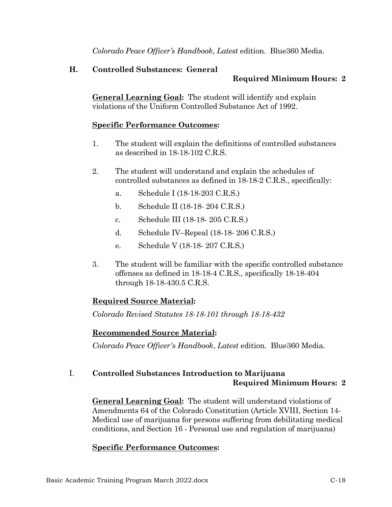*Colorado Peace Officer's Handbook*, *Latest* edition. Blue360 Media.

### **H. Controlled Substances: General**

# **Required Minimum Hours: 2**

**General Learning Goal:** The student will identify and explain violations of the Uniform Controlled Substance Act of 1992.

### **Specific Performance Outcomes:**

- 1. The student will explain the definitions of controlled substances as described in  $18-18-102$  C.R.S.
- 2. The student will understand and explain the schedules of controlled substances as defined in 18-18-2 C.R.S., specifically:
	- a. Schedule I (18-18-203 C.R.S.)
	- b. Schedule II (18-18- 204 C.R.S.)
	- c. Schedule III (18-18- 205 C.R.S.)
	- d. Schedule IV–Repeal (18-18- 206 C.R.S.)
	- e. Schedule V (18-18- 207 C.R.S.)
- 3. The student will be familiar with the specific controlled substance offenses as defined in 18-18-4 C.R.S., specifically 18-18-404 through 18-18-430.5 C.R.S.

# **Required Source Material:**

*Colorado Revised Statutes 18-18-101 through 18-18-432*

# **Recommended Source Material:**

*Colorado Peace Officer's Handbook*, *Latest* edition. Blue360 Media.

# I. **Controlled Substances Introduction to Marijuana Required Minimum Hours: 2**

**General Learning Goal:** The student will understand violations of Amendments 64 of the Colorado Constitution (Article XVIII, Section 14- Medical use of marijuana for persons suffering from debilitating medical conditions, and Section 16 - Personal use and regulation of marijuana)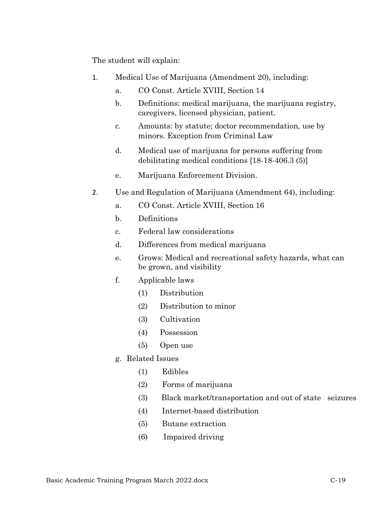The student will explain:

- 1. Medical Use of Marijuana (Amendment 20), including:
	- a. CO Const. Article XVIII, Section 14
	- b. Definitions: medical marijuana, the marijuana registry, caregivers, licensed physician, patient.
	- c. Amounts: by statute; doctor recommendation, use by minors. Exception from Criminal Law
	- d. Medical use of marijuana for persons suffering from debilitating medical conditions [18-18-406.3 (5)]
	- e. Marijuana Enforcement Division.
- 2. Use and Regulation of Marijuana (Amendment 64), including:
	- a. CO Const. Article XVIII, Section 16
	- b. Definitions
	- c. Federal law considerations
	- d. Differences from medical marijuana
	- e. Grows: Medical and recreational safety hazards, what can be grown, and visibility
	- f. Applicable laws
		- (1) Distribution
		- (2) Distribution to minor
		- (3) Cultivation
		- (4) Possession
		- (5) Open use
	- g. Related Issues
		- (1) Edibles
		- (2) Forms of marijuana
		- (3) Black market/transportation and out of state seizures
		- (4) Internet-based distribution
		- (5) Butane extraction
		- (6) Impaired driving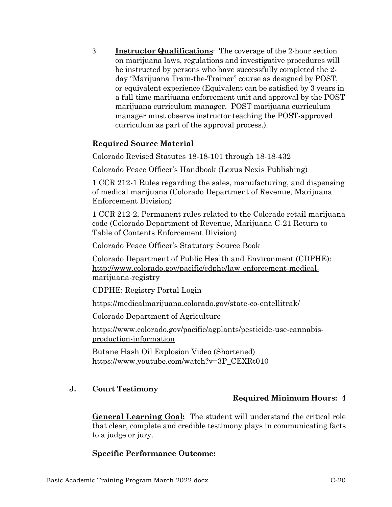3. **Instructor Qualifications**: The coverage of the 2-hour section on marijuana laws, regulations and investigative procedures will be instructed by persons who have successfully completed the 2 day "Marijuana Train-the-Trainer" course as designed by POST, or equivalent experience (Equivalent can be satisfied by 3 years in a full-time marijuana enforcement unit and approval by the POST marijuana curriculum manager. POST marijuana curriculum manager must observe instructor teaching the POST-approved curriculum as part of the approval process.).

### **Required Source Material**

Colorado Revised Statutes 18-18-101 through 18-18-432

Colorado Peace Officer's Handbook (Lexus Nexis Publishing)

1 CCR 212-1 Rules regarding the sales, manufacturing, and dispensing of medical marijuana (Colorado Department of Revenue, Marijuana Enforcement Division)

1 CCR 212-2, Permanent rules related to the Colorado retail marijuana code (Colorado Department of Revenue, Marijuana C-21 Return to Table of Contents Enforcement Division)

Colorado Peace Officer's Statutory Source Book

Colorado Department of Public Health and Environment (CDPHE): [http://www.colorado.gov/pacific/cdphe/law-enforcement-medical](http://www.colorado.gov/pacific/cdphe/law-enforcement-medical-marijuana-registry)[marijuana-registry](http://www.colorado.gov/pacific/cdphe/law-enforcement-medical-marijuana-registry)

CDPHE: Registry Portal Login

<https://medicalmarijuana.colorado.gov/state-co-entellitrak/>

Colorado Department of Agriculture

[https://www.colorado.gov/pacific/agplants/pesticide-use-cannabis](https://www.colorado.gov/pacific/agplants/pesticide-use-cannabis-production-information)[production-information](https://www.colorado.gov/pacific/agplants/pesticide-use-cannabis-production-information)

Butane Hash Oil Explosion Video (Shortened) [https://www.youtube.com/watch?v=3P\\_CEXRt010](https://www.youtube.com/watch?v=3P_CEXRt010)

### **J. Court Testimony**

### **Required Minimum Hours: 4**

**General Learning Goal:** The student will understand the critical role that clear, complete and credible testimony plays in communicating facts to a judge or jury.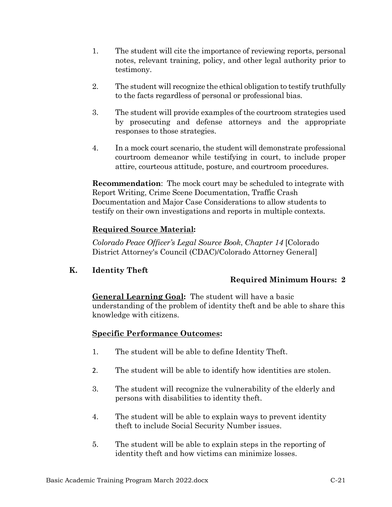- 1. The student will cite the importance of reviewing reports, personal notes, relevant training, policy, and other legal authority prior to testimony.
- 2. The student will recognize the ethical obligation to testify truthfully to the facts regardless of personal or professional bias.
- 3. The student will provide examples of the courtroom strategies used by prosecuting and defense attorneys and the appropriate responses to those strategies.
- 4. In a mock court scenario, the student will demonstrate professional courtroom demeanor while testifying in court, to include proper attire, courteous attitude, posture, and courtroom procedures.

**Recommendation**: The mock court may be scheduled to integrate with Report Writing, Crime Scene Documentation, Traffic Crash Documentation and Major Case Considerations to allow students to testify on their own investigations and reports in multiple contexts.

# **Required Source Material:**

*Colorado Peace Officer's Legal Source Book*, *Chapter 14* [Colorado District Attorney's Council (CDAC)/Colorado Attorney General]

**K. Identity Theft**

# **Required Minimum Hours: 2**

### **General Learning Goal:** The student will have a basic understanding of the problem of identity theft and be able to share this knowledge with citizens.

- 1. The student will be able to define Identity Theft.
- 2. The student will be able to identify how identities are stolen.
- 3. The student will recognize the vulnerability of the elderly and persons with disabilities to identity theft.
- 4. The student will be able to explain ways to prevent identity theft to include Social Security Number issues.
- 5. The student will be able to explain steps in the reporting of identity theft and how victims can minimize losses.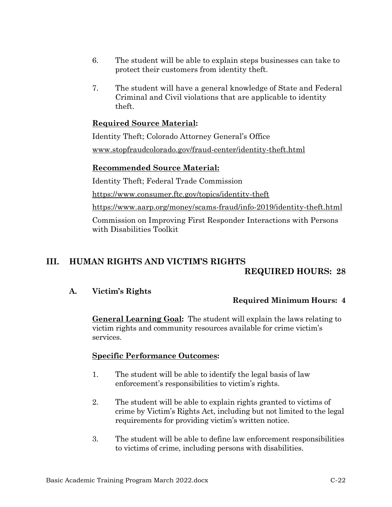- 6. The student will be able to explain steps businesses can take to protect their customers from identity theft.
- 7. The student will have a general knowledge of State and Federal Criminal and Civil violations that are applicable to identity theft.

Identity Theft; Colorado Attorney General's Office [www.stopfraudcolorado.gov/fraud-center/identity-theft.html](http://www.stopfraudcolorado.gov/fraud-center/identity-theft.html)

### **Recommended Source Material:**

Identity Theft; Federal Trade Commission

<https://www.consumer.ftc.gov/topics/identity-theft>

<https://www.aarp.org/money/scams-fraud/info-2019/identity-theft.html>

Commission on Improving First Responder Interactions with Persons with Disabilities Toolkit

# **III. HUMAN RIGHTS AND VICTIM'S RIGHTS REQUIRED HOURS: 28**

# **A. Victim's Rights**

# **Required Minimum Hours: 4**

**General Learning Goal:** The student will explain the laws relating to victim rights and community resources available for crime victim's services.

- 1. The student will be able to identify the legal basis of law enforcement's responsibilities to victim's rights.
- 2. The student will be able to explain rights granted to victims of crime by Victim's Rights Act, including but not limited to the legal requirements for providing victim's written notice.
- 3. The student will be able to define law enforcement responsibilities to victims of crime, including persons with disabilities.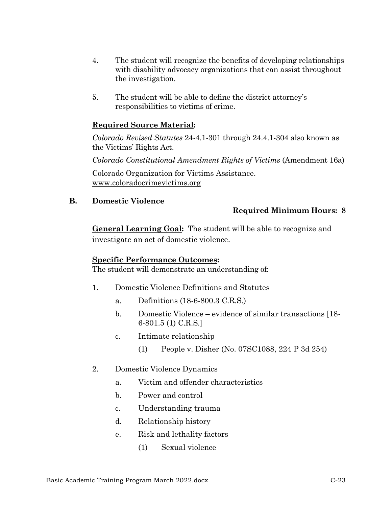- 4. The student will recognize the benefits of developing relationships with disability advocacy organizations that can assist throughout the investigation.
- 5. The student will be able to define the district attorney's responsibilities to victims of crime.

*Colorado Revised Statutes* 24-4.1-301 through 24.4.1-304 also known as the Victims' Rights Act.

*Colorado Constitutional Amendment Rights of Victims* (Amendment 16a)

Colorado Organization for Victims Assistance. [www.coloradocrimevictims.org](http://www.coloradocrimevictims.org/)

**B. Domestic Violence**

### **Required Minimum Hours: 8**

**General Learning Goal:** The student will be able to recognize and investigate an act of domestic violence.

### **Specific Performance Outcomes:**

The student will demonstrate an understanding of:

- 1. Domestic Violence Definitions and Statutes
	- a. Definitions (18-6-800.3 C.R.S.)
	- b. Domestic Violence evidence of similar transactions [18- 6-801.5 (1) C.R.S.]
	- c. Intimate relationship
		- (1) People v. Disher (No. 07SC1088, 224 P 3d 254)
- 2. Domestic Violence Dynamics
	- a. Victim and offender characteristics
	- b. Power and control
	- c. Understanding trauma
	- d. Relationship history
	- e. Risk and lethality factors
		- (1) Sexual violence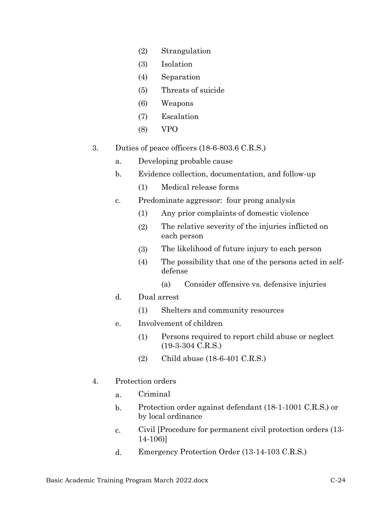- (2) Strangulation
- (3) Isolation
- (4) Separation
- (5) Threats of suicide
- (6) Weapons
- (7) Escalation
- (8) VPO
- 3. Duties of peace officers (18-6-803.6 C.R.S.)
	- a. Developing probable cause
	- b. Evidence collection, documentation, and follow-up
		- (1) Medical release forms
	- c. Predominate aggressor: four prong analysis
		- (1) Any prior complaints of domestic violence
		- (2) The relative severity of the injuries inflicted on each person
		- (3) The likelihood of future injury to each person
		- (4) The possibility that one of the persons acted in selfdefense
			- (a) Consider offensive vs. defensive injuries
	- d. Dual arrest
		- (1) Shelters and community resources
	- e. Involvement of children
		- (1) Persons required to report child abuse or neglect (19-3-304 C.R.S.)
		- (2) Child abuse (18-6-401 C.R.S.)
- 4. Protection orders
	- a. Criminal
	- b. Protection order against defendant (18-1-1001 C.R.S.) or by local ordinance
	- c. Civil [Procedure for permanent civil protection orders (13- 14-106)]
	- d. Emergency Protection Order (13-14-103 C.R.S.)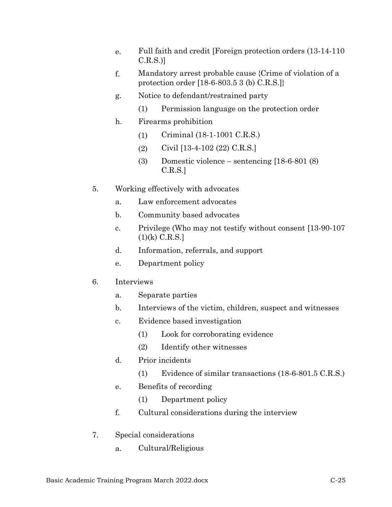- e. Full faith and credit [Foreign protection orders (13-14-110 C.R.S.)]
- f. Mandatory arrest probable cause {Crime of violation of a protection order [18-6-803.5 3 (b) C.R.S.]}
- g. Notice to defendant/restrained party
	- (1) Permission language on the protection order
- h. Firearms prohibition
	- (1) Criminal (18-1-1001 C.R.S.)
	- (2) Civil [13-4-102 (22) C.R.S.]
	- (3) Domestic violence sentencing [18-6-801 (8) C.R.S.]
- 5. Working effectively with advocates
	- a. Law enforcement advocates
	- b. Community based advocates
	- c. Privilege (Who may not testify without consent [13-90-107 (1)(k) C.R.S.]
	- d. Information, referrals, and support
	- e. Department policy
- 6. Interviews
	- a. Separate parties
	- b. Interviews of the victim, children, suspect and witnesses
	- c. Evidence based investigation
		- (1) Look for corroborating evidence
		- (2) Identify other witnesses
	- d. Prior incidents
		- (1) Evidence of similar transactions (18-6-801.5 C.R.S.)
	- e. Benefits of recording
		- (1) Department policy
	- f. Cultural considerations during the interview
- 7. Special considerations
	- a. Cultural/Religious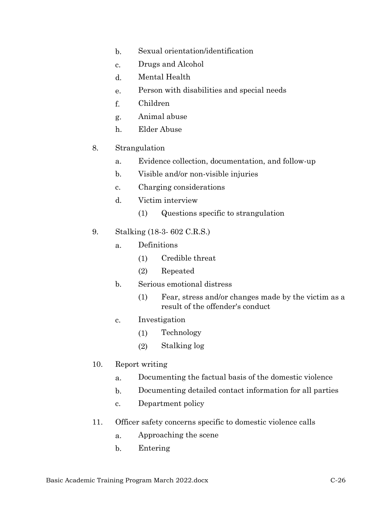- b. Sexual orientation/identification
- c. Drugs and Alcohol
- d. Mental Health
- e. Person with disabilities and special needs
- f. Children
- g. Animal abuse
- h. Elder Abuse
- 8. Strangulation
	- a. Evidence collection, documentation, and follow-up
	- b. Visible and/or non-visible injuries
	- c. Charging considerations
	- d. Victim interview
		- (1) Questions specific to strangulation
- 9. Stalking (18-3- 602 C.R.S.)
	- a. Definitions
		- (1) Credible threat
		- (2) Repeated
	- b. Serious emotional distress
		- (1) Fear, stress and/or changes made by the victim as a result of the offender's conduct
	- c. Investigation
		- (1) Technology
		- (2) Stalking log
- 10. Report writing
	- a. Documenting the factual basis of the domestic violence
	- b. Documenting detailed contact information for all parties
	- c. Department policy
- 11. Officer safety concerns specific to domestic violence calls
	- a. Approaching the scene
	- b. Entering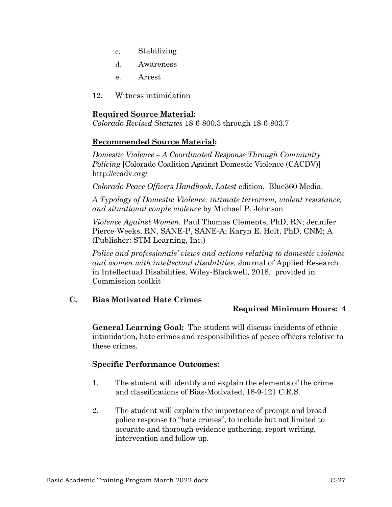- c. Stabilizing
- d. Awareness
- e. Arrest
- 12. Witness intimidation

*Colorado Revised Statutes* 18-6-800.3 through 18-6-803.7

### **Recommended Source Material:**

*Domestic Violence – A Coordinated Response Through Community Policing* [Colorado Coalition Against Domestic Violence (CACDV)] <http://ccadv.org/>

*Colorado Peace Officers Handbook*, *Latest* edition. Blue360 Media.

*A Typology of Domestic Violence: intimate terrorism, violent resistance, and situational couple violence* by Michael P. Johnson

*Violence Against Women.* Paul Thomas Clements, PhD, RN; Jennifer Pierce-Weeks, RN, SANE-P, SANE-A; Karyn E. Holt, PhD, CNM; A (Publisher: STM Learning, Inc.)

*Police and professionals' views and actions relating to domestic violence and women with intellectual disabilities,* Journal of Applied Research in Intellectual Disabilities, Wiley-Blackwell, 2018. provided in Commission toolkit

### **C. Bias Motivated Hate Crimes**

### **Required Minimum Hours: 4**

**General Learning Goal:** The student will discuss incidents of ethnic intimidation, hate crimes and responsibilities of peace officers relative to these crimes.

- 1. The student will identify and explain the elements of the crime and classifications of Bias-Motivated, 18-9-121 C.R.S*.*
- 2. The student will explain the importance of prompt and broad police response to "hate crimes", to include but not limited to accurate and thorough evidence gathering, report writing, intervention and follow up.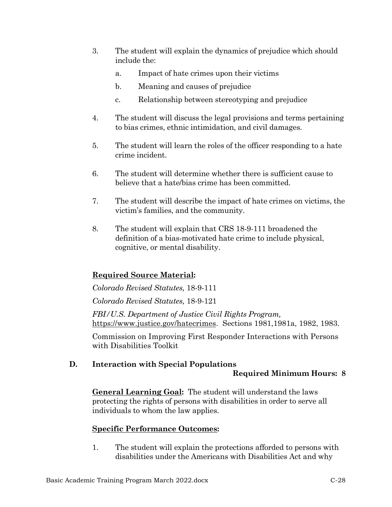- 3. The student will explain the dynamics of prejudice which should include the:
	- a. Impact of hate crimes upon their victims
	- b. Meaning and causes of prejudice
	- c. Relationship between stereotyping and prejudice
- 4. The student will discuss the legal provisions and terms pertaining to bias crimes, ethnic intimidation, and civil damages.
- 5. The student will learn the roles of the officer responding to a hate crime incident.
- 6. The student will determine whether there is sufficient cause to believe that a hate/bias crime has been committed.
- 7. The student will describe the impact of hate crimes on victims, the victim's families, and the community.
- 8. The student will explain that CRS 18-9-111 broadened the definition of a bias-motivated hate crime to include physical, cognitive, or mental disability.

*Colorado Revised Statutes,* 18-9-111

*Colorado Revised Statutes,* 18-9-121

*FBI/U.S. Department of Justice Civil Rights Program,*  [https://www.justice.gov/hatecrimes.](https://www.justice.gov/hatecrimes) Sections 1981,1981a, 1982, 1983.

Commission on Improving First Responder Interactions with Persons with Disabilities Toolkit

# **D. Interaction with Special Populations**

### **Required Minimum Hours: 8**

**General Learning Goal:** The student will understand the laws protecting the rights of persons with disabilities in order to serve all individuals to whom the law applies.

# **Specific Performance Outcomes:**

1. The student will explain the protections afforded to persons with disabilities under the Americans with Disabilities Act and why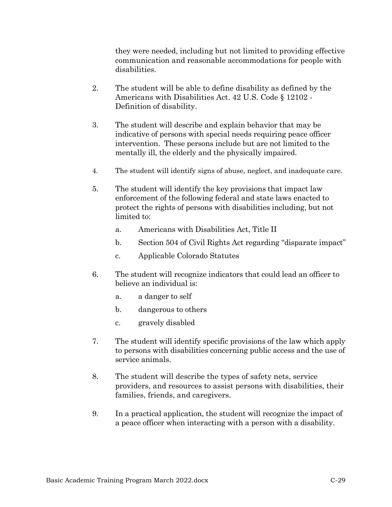they were needed, including but not limited to providing effective communication and reasonable accommodations for people with disabilities.

- 2. The student will be able to define disability as defined by the Americans with Disabilities Act. 42 U.S. Code § 12102 - Definition of disability.
- 3. The student will describe and explain behavior that may be indicative of persons with special needs requiring peace officer intervention. These persons include but are not limited to the mentally ill, the elderly and the physically impaired.
- 4. The student will identify signs of abuse, neglect, and inadequate care.
- 5. The student will identify the key provisions that impact law enforcement of the following federal and state laws enacted to protect the rights of persons with disabilities including, but not limited to:
	- a. Americans with Disabilities Act, Title II
	- b. Section 504 of Civil Rights Act regarding "disparate impact"
	- c. Applicable Colorado Statutes
- 6. The student will recognize indicators that could lead an officer to believe an individual is:
	- a. a danger to self
	- b. dangerous to others
	- c. gravely disabled
- 7. The student will identify specific provisions of the law which apply to persons with disabilities concerning public access and the use of service animals.
- 8. The student will describe the types of safety nets, service providers, and resources to assist persons with disabilities, their families, friends, and caregivers.
- 9. In a practical application, the student will recognize the impact of a peace officer when interacting with a person with a disability.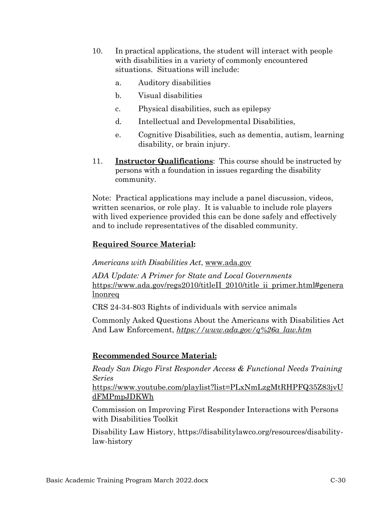- 10. In practical applications, the student will interact with people with disabilities in a variety of commonly encountered situations. Situations will include:
	- a. Auditory disabilities
	- b. Visual disabilities
	- c. Physical disabilities, such as epilepsy
	- d. Intellectual and Developmental Disabilities,
	- e. Cognitive Disabilities, such as dementia, autism, learning disability, or brain injury.
- 11. **Instructor Qualifications**: This course should be instructed by persons with a foundation in issues regarding the disability community.

Note: Practical applications may include a panel discussion, videos, written scenarios, or role play. It is valuable to include role players with lived experience provided this can be done safely and effectively and to include representatives of the disabled community.

# **Required Source Material:**

*Americans with Disabilities Act*, [www.ada.gov](http://www.ada.gov/) 

*ADA Update: A Primer for State and Local Governments* [https://www.ada.gov/regs2010/titleII\\_2010/title\\_ii\\_primer.html#genera](https://www.ada.gov/regs2010/titleII_2010/title_ii_primer.html#generalnonreq) [lnonreq](https://www.ada.gov/regs2010/titleII_2010/title_ii_primer.html#generalnonreq)

CRS 24-34-803 Rights of individuals with service animals

Commonly Asked Questions About the Americans with Disabilities Act And Law Enforcement, *[https://www.ada.gov/q%26a\\_law.htm](https://www.ada.gov/q%26a_law.htm)*

# **Recommended Source Material:**

*Ready San Diego First Responder Access & Functional Needs Training Series* 

[https://www.youtube.com/playlist?list=PLxNmLzgMtRHPFQ35Z83jvU](https://www.youtube.com/playlist?list=PLxNmLzgMtRHPFQ35Z83jvUdFMPmpJDKWh) [dFMPmpJDKWh](https://www.youtube.com/playlist?list=PLxNmLzgMtRHPFQ35Z83jvUdFMPmpJDKWh)

Commission on Improving First Responder Interactions with Persons with Disabilities Toolkit

Disability Law History, https://disabilitylawco.org/resources/disabilitylaw-history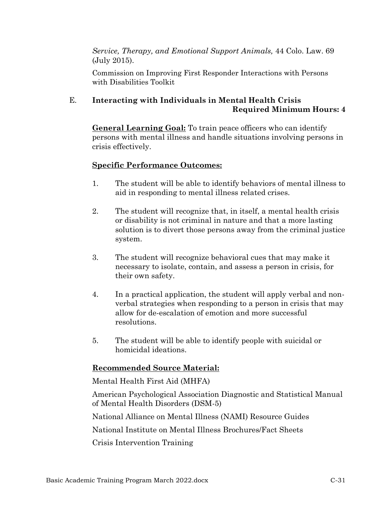*Service, Therapy, and Emotional Support Animals,* 44 Colo. Law. 69 (July 2015).

Commission on Improving First Responder Interactions with Persons with Disabilities Toolkit

# E. **Interacting with Individuals in Mental Health Crisis Required Minimum Hours: 4**

**General Learning Goal:** To train peace officers who can identify persons with mental illness and handle situations involving persons in crisis effectively.

# **Specific Performance Outcomes:**

- 1. The student will be able to identify behaviors of mental illness to aid in responding to mental illness related crises.
- 2. The student will recognize that, in itself, a mental health crisis or disability is not criminal in nature and that a more lasting solution is to divert those persons away from the criminal justice system.
- 3. The student will recognize behavioral cues that may make it necessary to isolate, contain, and assess a person in crisis, for their own safety.
- 4. In a practical application, the student will apply verbal and nonverbal strategies when responding to a person in crisis that may allow for de-escalation of emotion and more successful resolutions.
- 5. The student will be able to identify people with suicidal or homicidal ideations.

# **Recommended Source Material:**

Mental Health First Aid (MHFA)

American Psychological Association Diagnostic and Statistical Manual of Mental Health Disorders (DSM-5)

National Alliance on Mental Illness (NAMI) Resource Guides

National Institute on Mental Illness Brochures/Fact Sheets

Crisis Intervention Training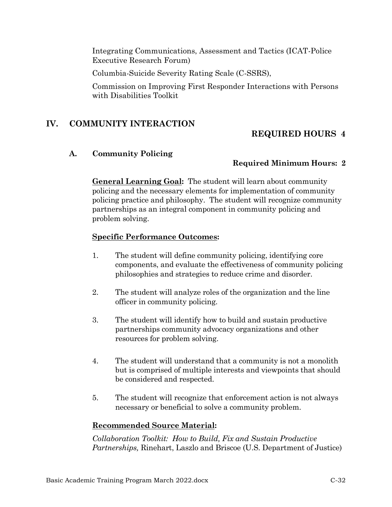Integrating Communications, Assessment and Tactics (ICAT-Police Executive Research Forum)

Columbia-Suicide Severity Rating Scale (C-SSRS),

Commission on Improving First Responder Interactions with Persons with Disabilities Toolkit

### **IV. COMMUNITY INTERACTION**

### **REQUIRED HOURS 4**

#### **A. Community Policing**

#### **Required Minimum Hours: 2**

**General Learning Goal:** The student will learn about community policing and the necessary elements for implementation of community policing practice and philosophy. The student will recognize community partnerships as an integral component in community policing and problem solving.

#### **Specific Performance Outcomes:**

- 1. The student will define community policing, identifying core components, and evaluate the effectiveness of community policing philosophies and strategies to reduce crime and disorder.
- 2. The student will analyze roles of the organization and the line officer in community policing.
- 3. The student will identify how to build and sustain productive partnerships community advocacy organizations and other resources for problem solving.
- 4. The student will understand that a community is not a monolith but is comprised of multiple interests and viewpoints that should be considered and respected.
- 5. The student will recognize that enforcement action is not always necessary or beneficial to solve a community problem.

#### **Recommended Source Material:**

*Collaboration Toolkit: How to Build, Fix and Sustain Productive Partnerships,* Rinehart, Laszlo and Briscoe (U.S. Department of Justice)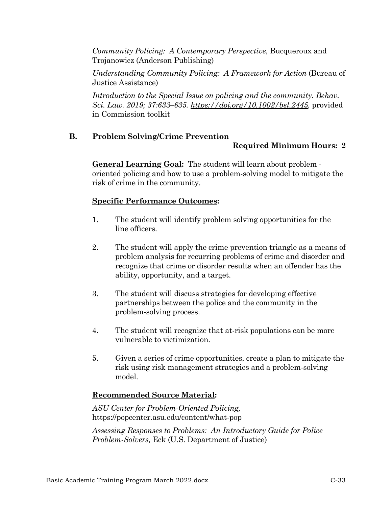*Community Policing: A Contemporary Perspective, Bucqueroux and* Trojanowicz (Anderson Publishing)

*Understanding Community Policing: A Framework for Action (Bureau of* Justice Assistance)

*Introduction to the Special Issue on policing and the community. Behav. Sci. Law. 2019; 37:633–635. [https://doi.org/10.1002/bsl.2445,](https://doi.org/10.1002/bsl.2445)* provided in Commission toolkit

# **B. Problem Solving/Crime Prevention**

# **Required Minimum Hours: 2**

**General Learning Goal:** The student will learn about problem oriented policing and how to use a problem-solving model to mitigate the risk of crime in the community.

# **Specific Performance Outcomes:**

- 1. The student will identify problem solving opportunities for the line officers.
- 2. The student will apply the crime prevention triangle as a means of problem analysis for recurring problems of crime and disorder and recognize that crime or disorder results when an offender has the ability, opportunity, and a target.
- 3. The student will discuss strategies for developing effective partnerships between the police and the community in the problem-solving process.
- 4. The student will recognize that at-risk populations can be more vulnerable to victimization.
- 5. Given a series of crime opportunities, create a plan to mitigate the risk using risk management strategies and a problem-solving model.

# **Recommended Source Material:**

*ASU Center for Problem-Oriented Policing,*  https://popcenter.asu.edu/content/what-pop

*Assessing Responses to Problems: An Introductory Guide for Police Problem-Solvers,* Eck (U.S. Department of Justice)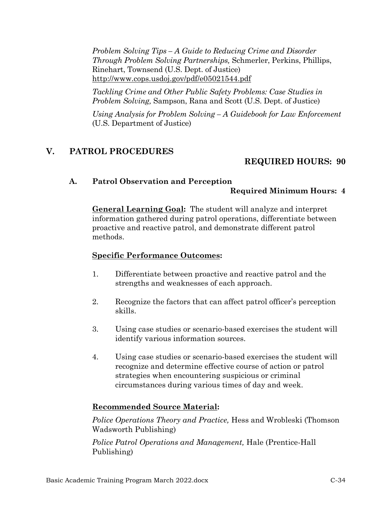*Problem Solving Tips – A Guide to Reducing Crime and Disorder Through Problem Solving Partnerships,* Schmerler, Perkins, Phillips, Rinehart, Townsend (U.S. Dept. of Justice) <http://www.cops.usdoj.gov/pdf/e05021544.pdf>

*Tackling Crime and Other Public Safety Problems: Case Studies in Problem Solving,* Sampson, Rana and Scott (U.S. Dept. of Justice)

*Using Analysis for Problem Solving – A Guidebook for Law Enforcement*  (U.S. Department of Justice)

# **V. PATROL PROCEDURES**

# **REQUIRED HOURS: 90**

# **A. Patrol Observation and Perception**

# **Required Minimum Hours: 4**

**General Learning Goal:** The student will analyze and interpret information gathered during patrol operations, differentiate between proactive and reactive patrol, and demonstrate different patrol methods.

### **Specific Performance Outcomes:**

- 1. Differentiate between proactive and reactive patrol and the strengths and weaknesses of each approach.
- 2. Recognize the factors that can affect patrol officer's perception skills.
- 3. Using case studies or scenario-based exercises the student will identify various information sources.
- 4. Using case studies or scenario-based exercises the student will recognize and determine effective course of action or patrol strategies when encountering suspicious or criminal circumstances during various times of day and week.

# **Recommended Source Material:**

*Police Operations Theory and Practice,* Hess and Wrobleski (Thomson Wadsworth Publishing)

*Police Patrol Operations and Management,* Hale (Prentice-Hall Publishing)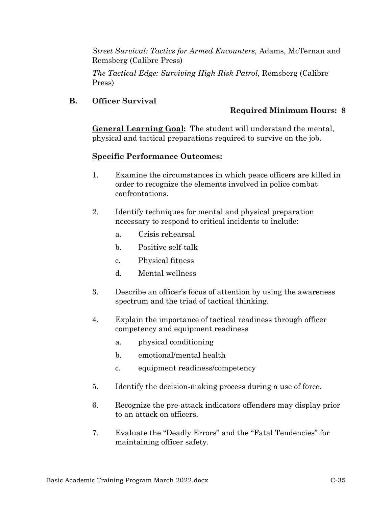*Street Survival: Tactics for Armed Encounters,* Adams, McTernan and Remsberg (Calibre Press)

*The Tactical Edge: Surviving High Risk Patrol,* Remsberg (Calibre Press)

# **B. Officer Survival**

# **Required Minimum Hours: 8**

**General Learning Goal:** The student will understand the mental, physical and tactical preparations required to survive on the job.

- 1. Examine the circumstances in which peace officers are killed in order to recognize the elements involved in police combat confrontations.
- 2. Identify techniques for mental and physical preparation necessary to respond to critical incidents to include:
	- a. Crisis rehearsal
	- b. Positive self-talk
	- c. Physical fitness
	- d. Mental wellness
- 3. Describe an officer's focus of attention by using the awareness spectrum and the triad of tactical thinking.
- 4. Explain the importance of tactical readiness through officer competency and equipment readiness
	- a. physical conditioning
	- b. emotional/mental health
	- c. equipment readiness/competency
- 5. Identify the decision-making process during a use of force.
- 6. Recognize the pre-attack indicators offenders may display prior to an attack on officers.
- 7. Evaluate the "Deadly Errors" and the "Fatal Tendencies" for maintaining officer safety.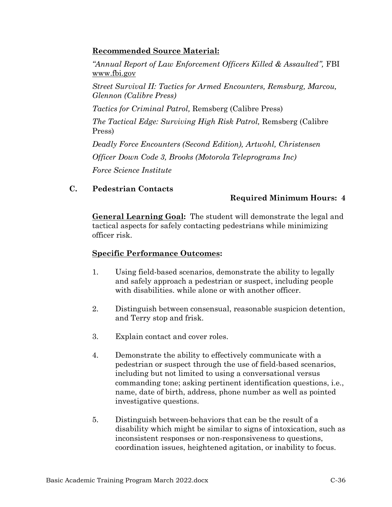# **Recommended Source Material:**

*"Annual Report of Law Enforcement Officers Killed & Assaulted",* FBI www.fbi.gov

*Street Survival II: Tactics for Armed Encounters, Remsburg, Marcou, Glennon (Calibre Press)*

*Tactics for Criminal Patrol,* Remsberg (Calibre Press)

*The Tactical Edge: Surviving High Risk Patrol,* Remsberg (Calibre Press)

*Deadly Force Encounters (Second Edition), Artwohl, Christensen Officer Down Code 3, Brooks (Motorola Teleprograms Inc) Force Science Institute*

# **C. Pedestrian Contacts**

# **Required Minimum Hours: 4**

**General Learning Goal:** The student will demonstrate the legal and tactical aspects for safely contacting pedestrians while minimizing officer risk.

- 1. Using field-based scenarios, demonstrate the ability to legally and safely approach a pedestrian or suspect, including people with disabilities, while alone or with another officer.
- 2. Distinguish between consensual, reasonable suspicion detention, and Terry stop and frisk.
- 3. Explain contact and cover roles.
- 4. Demonstrate the ability to effectively communicate with a pedestrian or suspect through the use of field-based scenarios, including but not limited to using a conversational versus commanding tone; asking pertinent identification questions, i.e., name, date of birth, address, phone number as well as pointed investigative questions.
- 5. Distinguish between behaviors that can be the result of a disability which might be similar to signs of intoxication, such as inconsistent responses or non-responsiveness to questions, coordination issues, heightened agitation, or inability to focus.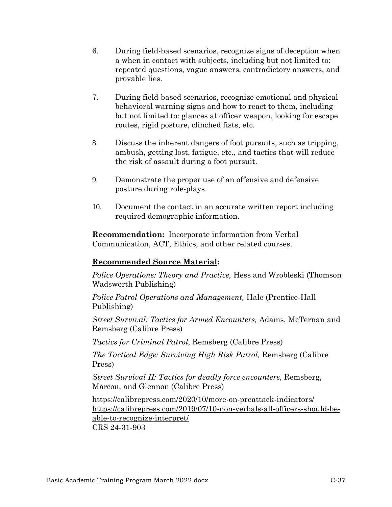- 6. During field-based scenarios, recognize signs of deception when a when in contact with subjects, including but not limited to: repeated questions, vague answers, contradictory answers, and provable lies.
- 7. During field-based scenarios, recognize emotional and physical behavioral warning signs and how to react to them, including but not limited to: glances at officer weapon, looking for escape routes, rigid posture, clinched fists, etc.
- 8. Discuss the inherent dangers of foot pursuits, such as tripping, ambush, getting lost, fatigue, etc., and tactics that will reduce the risk of assault during a foot pursuit.
- 9. Demonstrate the proper use of an offensive and defensive posture during role-plays.
- 10. Document the contact in an accurate written report including required demographic information.

**Recommendation:** Incorporate information from Verbal Communication, ACT, Ethics, and other related courses.

# **Recommended Source Material:**

*Police Operations: Theory and Practice,* Hess and Wrobleski (Thomson Wadsworth Publishing)

*Police Patrol Operations and Management,* Hale (Prentice-Hall Publishing)

*Street Survival: Tactics for Armed Encounters,* Adams, McTernan and Remsberg (Calibre Press)

*Tactics for Criminal Patrol,* Remsberg (Calibre Press)

*The Tactical Edge: Surviving High Risk Patrol,* Remsberg (Calibre Press)

*Street Survival II: Tactics for deadly force encounters,* Remsberg, Marcou, and Glennon (Calibre Press)

<https://calibrepress.com/2020/10/more-on-preattack-indicators/> [https://calibrepress.com/2019/07/10-non-verbals-all-officers-should-be](https://calibrepress.com/2019/07/10-non-verbals-all-officers-should-be-able-to-recognize-interpret/)[able-to-recognize-interpret/](https://calibrepress.com/2019/07/10-non-verbals-all-officers-should-be-able-to-recognize-interpret/) CRS 24-31-903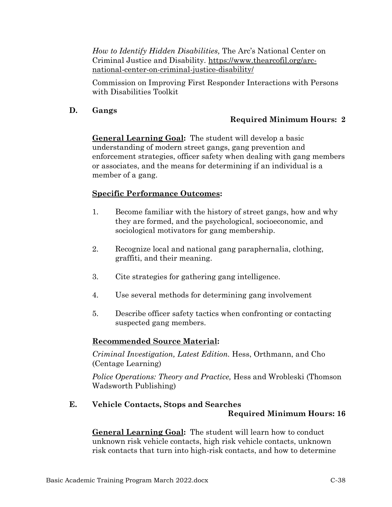*How to Identify Hidden Disabilities,* The Arc's National Center on Criminal Justice and Disability*.* [https://www.thearcofil.org/arc](https://www.thearcofil.org/arc-national-center-on-criminal-justice-disability/)[national-center-on-criminal-justice-disability/](https://www.thearcofil.org/arc-national-center-on-criminal-justice-disability/)

Commission on Improving First Responder Interactions with Persons with Disabilities Toolkit

### **D. Gangs**

# **Required Minimum Hours: 2**

**General Learning Goal:** The student will develop a basic understanding of modern street gangs, gang prevention and enforcement strategies, officer safety when dealing with gang members or associates, and the means for determining if an individual is a member of a gang.

### **Specific Performance Outcomes:**

- 1. Become familiar with the history of street gangs, how and why they are formed, and the psychological, socioeconomic, and sociological motivators for gang membership.
- 2. Recognize local and national gang paraphernalia, clothing, graffiti, and their meaning.
- 3. Cite strategies for gathering gang intelligence.
- 4. Use several methods for determining gang involvement
- 5. Describe officer safety tactics when confronting or contacting suspected gang members.

# **Recommended Source Material:**

*Criminal Investigation, Latest Edition.* Hess, Orthmann, and Cho (Centage Learning)

*Police Operations: Theory and Practice,* Hess and Wrobleski (Thomson Wadsworth Publishing)

# **E. Vehicle Contacts, Stops and Searches Required Minimum Hours: 16**

**General Learning Goal:** The student will learn how to conduct unknown risk vehicle contacts, high risk vehicle contacts, unknown risk contacts that turn into high-risk contacts, and how to determine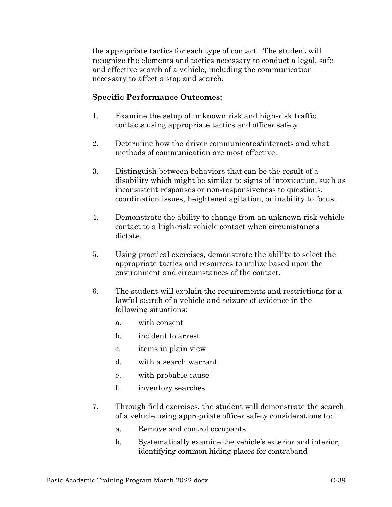the appropriate tactics for each type of contact. The student will recognize the elements and tactics necessary to conduct a legal, safe and effective search of a vehicle, including the communication necessary to affect a stop and search.

- 1. Examine the setup of unknown risk and high-risk traffic contacts using appropriate tactics and officer safety.
- 2. Determine how the driver communicates/interacts and what methods of communication are most effective.
- 3. Distinguish between behaviors that can be the result of a disability which might be similar to signs of intoxication, such as inconsistent responses or non-responsiveness to questions, coordination issues, heightened agitation, or inability to focus.
- 4. Demonstrate the ability to change from an unknown risk vehicle contact to a high-risk vehicle contact when circumstances dictate.
- 5. Using practical exercises, demonstrate the ability to select the appropriate tactics and resources to utilize based upon the environment and circumstances of the contact.
- 6. The student will explain the requirements and restrictions for a lawful search of a vehicle and seizure of evidence in the following situations:
	- a. with consent
	- b. incident to arrest
	- c. items in plain view
	- d. with a search warrant
	- e. with probable cause
	- f. inventory searches
- 7. Through field exercises, the student will demonstrate the search of a vehicle using appropriate officer safety considerations to:
	- a. Remove and control occupants
	- b. Systematically examine the vehicle's exterior and interior, identifying common hiding places for contraband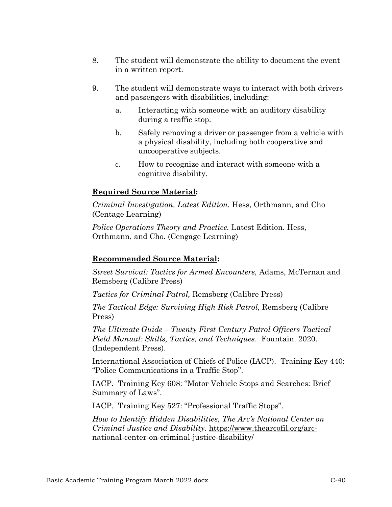- 8. The student will demonstrate the ability to document the event in a written report.
- 9. The student will demonstrate ways to interact with both drivers and passengers with disabilities, including:
	- a. Interacting with someone with an auditory disability during a traffic stop.
	- b. Safely removing a driver or passenger from a vehicle with a physical disability, including both cooperative and uncooperative subjects.
	- c. How to recognize and interact with someone with a cognitive disability.

*Criminal Investigation, Latest Edition.* Hess, Orthmann, and Cho (Centage Learning)

*Police Operations Theory and Practice.* Latest Edition. Hess, Orthmann, and Cho. (Cengage Learning)

# **Recommended Source Material:**

*Street Survival: Tactics for Armed Encounters,* Adams, McTernan and Remsberg (Calibre Press)

*Tactics for Criminal Patrol,* Remsberg (Calibre Press)

*The Tactical Edge: Surviving High Risk Patrol,* Remsberg (Calibre Press)

*The Ultimate Guide – Twenty First Century Patrol Officers Tactical Field Manual: Skills, Tactics, and Techniques*. Fountain. 2020. (Independent Press).

International Association of Chiefs of Police (IACP). Training Key 440: "Police Communications in a Traffic Stop".

IACP. Training Key 608: "Motor Vehicle Stops and Searches: Brief Summary of Laws".

IACP. Training Key 527: "Professional Traffic Stops".

*How to Identify Hidden Disabilities, The Arc's National Center on Criminal Justice and Disability.* [https://www.thearcofil.org/arc](https://www.thearcofil.org/arc-national-center-on-criminal-justice-disability/)[national-center-on-criminal-justice-disability/](https://www.thearcofil.org/arc-national-center-on-criminal-justice-disability/)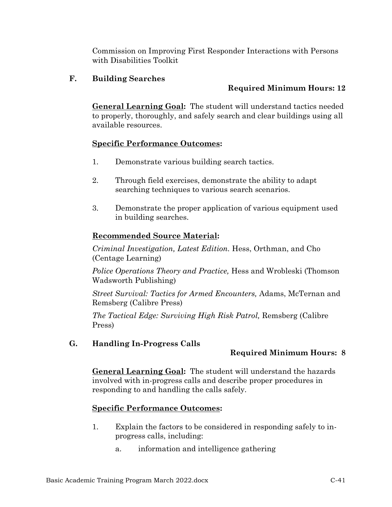Commission on Improving First Responder Interactions with Persons with Disabilities Toolkit

# **F. Building Searches**

# **Required Minimum Hours: 12**

**General Learning Goal:** The student will understand tactics needed to properly, thoroughly, and safely search and clear buildings using all available resources.

# **Specific Performance Outcomes:**

- 1. Demonstrate various building search tactics.
- 2. Through field exercises, demonstrate the ability to adapt searching techniques to various search scenarios.
- 3. Demonstrate the proper application of various equipment used in building searches.

# **Recommended Source Material:**

*Criminal Investigation, Latest Edition.* Hess, Orthman, and Cho (Centage Learning)

*Police Operations Theory and Practice,* Hess and Wrobleski (Thomson Wadsworth Publishing)

*Street Survival: Tactics for Armed Encounters,* Adams, McTernan and Remsberg (Calibre Press)

*The Tactical Edge: Surviving High Risk Patrol,* Remsberg (Calibre Press)

# **G. Handling In-Progress Calls**

# **Required Minimum Hours: 8**

**General Learning Goal:** The student will understand the hazards involved with in-progress calls and describe proper procedures in responding to and handling the calls safely.

- 1. Explain the factors to be considered in responding safely to inprogress calls, including:
	- a. information and intelligence gathering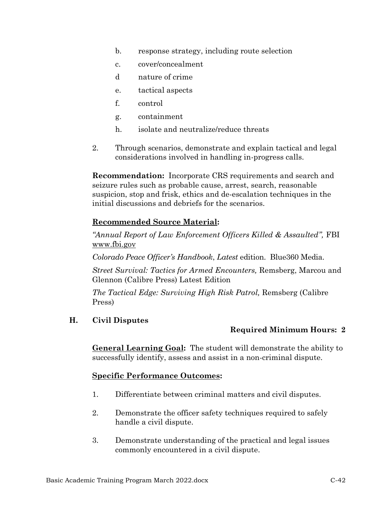- b. response strategy, including route selection
- c. cover/concealment
- d nature of crime
- e. tactical aspects
- f. control
- g. containment
- h. isolate and neutralize/reduce threats
- 2. Through scenarios, demonstrate and explain tactical and legal considerations involved in handling in-progress calls.

**Recommendation:** Incorporate CRS requirements and search and seizure rules such as probable cause, arrest, search, reasonable suspicion, stop and frisk, ethics and de-escalation techniques in the initial discussions and debriefs for the scenarios.

# **Recommended Source Material:**

*"Annual Report of Law Enforcement Officers Killed & Assaulted",* FBI [www.fbi.gov](file://///fs_CJ/DATA7/Files/Post%20Board/Manual/2017%20Manual/JAN%202017/www.fbi.gov%20)

*Colorado Peace Officer's Handbook*, *Latest* edition. Blue360 Media.

*Street Survival: Tactics for Armed Encounters,* Remsberg, Marcou and Glennon (Calibre Press) Latest Edition

*The Tactical Edge: Surviving High Risk Patrol,* Remsberg (Calibre Press)

# **H. Civil Disputes**

# **Required Minimum Hours: 2**

**General Learning Goal:** The student will demonstrate the ability to successfully identify, assess and assist in a non-criminal dispute.

- 1. Differentiate between criminal matters and civil disputes.
- 2. Demonstrate the officer safety techniques required to safely handle a civil dispute.
- 3. Demonstrate understanding of the practical and legal issues commonly encountered in a civil dispute.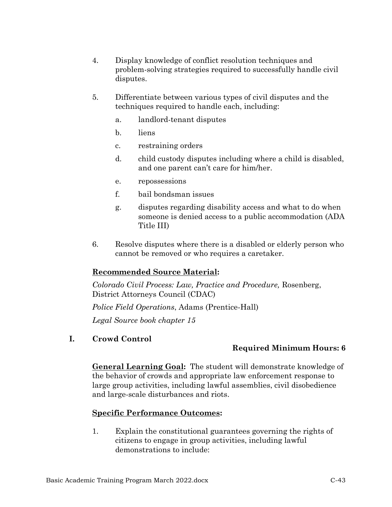- 4. Display knowledge of conflict resolution techniques and problem-solving strategies required to successfully handle civil disputes.
- 5. Differentiate between various types of civil disputes and the techniques required to handle each, including:
	- a. landlord-tenant disputes
	- b. liens
	- c. restraining orders
	- d. child custody disputes including where a child is disabled, and one parent can't care for him/her.
	- e. repossessions
	- f. bail bondsman issues
	- g. disputes regarding disability access and what to do when someone is denied access to a public accommodation (ADA Title III)
- 6. Resolve disputes where there is a disabled or elderly person who cannot be removed or who requires a caretaker.

# **Recommended Source Material:**

*Colorado Civil Process: Law, Practice and Procedure,* Rosenberg, District Attorneys Council (CDAC)

*Police Field Operations*, Adams (Prentice-Hall)

*Legal Source book chapter 15*

**I. Crowd Control**

# **Required Minimum Hours: 6**

**General Learning Goal:** The student will demonstrate knowledge of the behavior of crowds and appropriate law enforcement response to large group activities, including lawful assemblies, civil disobedience and large-scale disturbances and riots.

# **Specific Performance Outcomes:**

1. Explain the constitutional guarantees governing the rights of citizens to engage in group activities, including lawful demonstrations to include: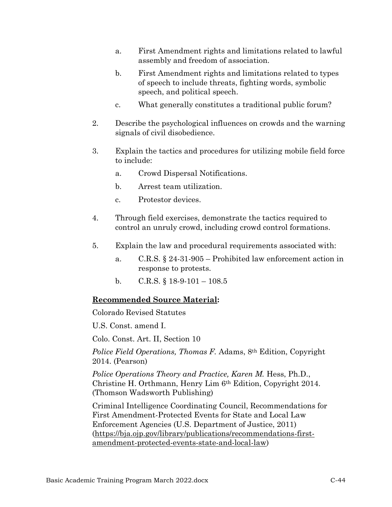- a. First Amendment rights and limitations related to lawful assembly and freedom of association.
- b. First Amendment rights and limitations related to types of speech to include threats, fighting words, symbolic speech, and political speech.
- c. What generally constitutes a traditional public forum?
- 2. Describe the psychological influences on crowds and the warning signals of civil disobedience.
- 3. Explain the tactics and procedures for utilizing mobile field force to include:
	- a. Crowd Dispersal Notifications.
	- b. Arrest team utilization.
	- c. Protestor devices.
- 4. Through field exercises, demonstrate the tactics required to control an unruly crowd, including crowd control formations.
- 5. Explain the law and procedural requirements associated with:
	- a. C.R.S. § 24-31-905 Prohibited law enforcement action in response to protests.
	- b. C.R.S.  $\S$  18-9-101 108.5

### **Recommended Source Material:**

Colorado Revised Statutes

U.S. Const. amend I.

Colo. Const. Art. II, Section 10

*Police Field Operations, Thomas F.* Adams, 8th Edition, Copyright 2014. (Pearson)

*Police Operations Theory and Practice, Karen M. Hess, Ph.D.,* Christine H. Orthmann, Henry Lim 6th Edition, Copyright 2014. (Thomson Wadsworth Publishing)

Criminal Intelligence Coordinating Council, Recommendations for First Amendment-Protected Events for State and Local Law Enforcement Agencies (U.S. Department of Justice, 2011) [\(https://bja.ojp.gov/library/publications/recommendations-first](https://bja.ojp.gov/library/publications/recommendations-first-amendment-protected-events-state-and-local-law)[amendment-protected-events-state-and-local-law\)](https://bja.ojp.gov/library/publications/recommendations-first-amendment-protected-events-state-and-local-law)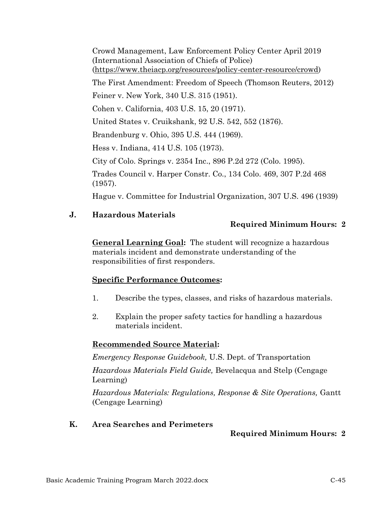Crowd Management, Law Enforcement Policy Center April 2019 (International Association of Chiefs of Police) [\(https://www.theiacp.org/resources/policy-center-resource/crowd\)](https://www.theiacp.org/resources/policy-center-resource/crowd)

The First Amendment: Freedom of Speech (Thomson Reuters, 2012)

Feiner v. New York, 340 U.S. 315 (1951).

Cohen v. California, 403 U.S. 15, 20 (1971).

United States v. Cruikshank, 92 U.S. 542, 552 (1876).

Brandenburg v. Ohio, 395 U.S. 444 (1969).

Hess v. Indiana, 414 U.S. 105 (1973).

City of Colo. Springs v. 2354 Inc., 896 P.2d 272 (Colo. 1995).

Trades Council v. Harper Constr. Co., 134 Colo. 469, 307 P.2d 468 (1957).

Hague v. Committee for Industrial Organization, 307 U.S. 496 (1939)

### **J. Hazardous Materials**

# **Required Minimum Hours: 2**

**General Learning Goal:** The student will recognize a hazardous materials incident and demonstrate understanding of the responsibilities of first responders.

# **Specific Performance Outcomes:**

- 1. Describe the types, classes, and risks of hazardous materials.
- 2. Explain the proper safety tactics for handling a hazardous materials incident.

# **Recommended Source Material:**

*Emergency Response Guidebook,* U.S. Dept. of Transportation

*Hazardous Materials Field Guide,* Bevelacqua and Stelp (Cengage Learning)

*Hazardous Materials: Regulations, Response & Site Operations,* Gantt (Cengage Learning)

### **K. Area Searches and Perimeters**

# **Required Minimum Hours: 2**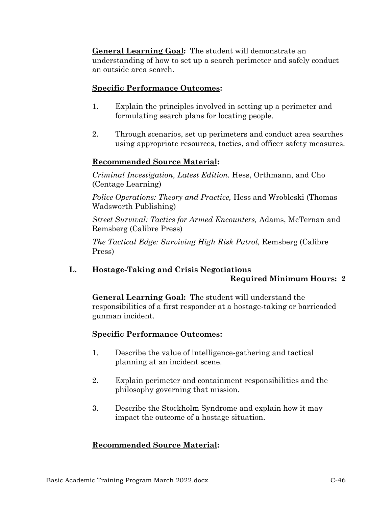**General Learning Goal:** The student will demonstrate an understanding of how to set up a search perimeter and safely conduct an outside area search.

### **Specific Performance Outcomes:**

- 1. Explain the principles involved in setting up a perimeter and formulating search plans for locating people.
- 2. Through scenarios, set up perimeters and conduct area searches using appropriate resources, tactics, and officer safety measures.

### **Recommended Source Material:**

*Criminal Investigation, Latest Edition.* Hess, Orthmann, and Cho (Centage Learning)

*Police Operations: Theory and Practice,* Hess and Wrobleski (Thomas Wadsworth Publishing)

*Street Survival: Tactics for Armed Encounters,* Adams, McTernan and Remsberg (Calibre Press)

*The Tactical Edge: Surviving High Risk Patrol,* Remsberg (Calibre Press)

# **L. Hostage-Taking and Crisis Negotiations Required Minimum Hours: 2**

**General Learning Goal:** The student will understand the responsibilities of a first responder at a hostage-taking or barricaded gunman incident.

# **Specific Performance Outcomes:**

- 1. Describe the value of intelligence-gathering and tactical planning at an incident scene.
- 2. Explain perimeter and containment responsibilities and the philosophy governing that mission.
- 3. Describe the Stockholm Syndrome and explain how it may impact the outcome of a hostage situation.

# **Recommended Source Material:**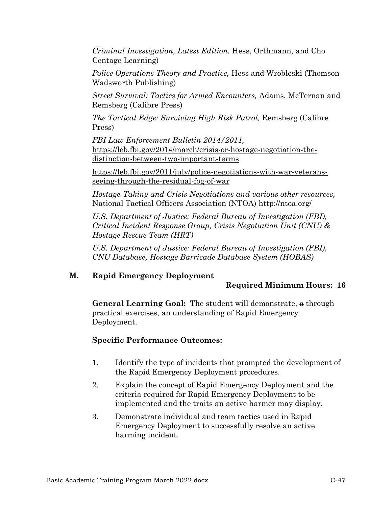*Criminal Investigation, Latest Edition.* Hess, Orthmann, and Cho Centage Learning)

*Police Operations Theory and Practice,* Hess and Wrobleski (Thomson Wadsworth Publishing)

*Street Survival: Tactics for Armed Encounters,* Adams, McTernan and Remsberg (Calibre Press)

*The Tactical Edge: Surviving High Risk Patrol,* Remsberg (Calibre Press)

*FBI Law Enforcement Bulletin 2014/2011,*  [https://leb.fbi.gov/2014/march/crisis-or-hostage-negotiation-the](https://leb.fbi.gov/2014/march/crisis-or-hostage-negotiation-the-distinction-between-two-important-terms)[distinction-between-two-important-terms](https://leb.fbi.gov/2014/march/crisis-or-hostage-negotiation-the-distinction-between-two-important-terms)

[https://leb.fbi.gov/2011/july/police-negotiations-with-war-veterans](https://leb.fbi.gov/2011/july/police-negotiations-with-war-veterans-seeing-through-the-residual-fog-of-war)[seeing-through-the-residual-fog-of-war](https://leb.fbi.gov/2011/july/police-negotiations-with-war-veterans-seeing-through-the-residual-fog-of-war) 

*Hostage-Taking and Crisis Negotiations and various other resources,*  National Tactical Officers Association (NTOA)<http://ntoa.org/>

*U.S. Department of Justice: Federal Bureau of Investigation (FBI), Critical Incident Response Group, Crisis Negotiation Unit (CNU) & Hostage Rescue Team (HRT)*

*U.S. Department of Justice: Federal Bureau of Investigation (FBI), CNU Database, Hostage Barricade Database System (HOBAS)*

# **M. Rapid Emergency Deployment**

# **Required Minimum Hours: 16**

**General Learning Goal:** The student will demonstrate, a through practical exercises, an understanding of Rapid Emergency Deployment.

- 1. Identify the type of incidents that prompted the development of the Rapid Emergency Deployment procedures.
- 2. Explain the concept of Rapid Emergency Deployment and the criteria required for Rapid Emergency Deployment to be implemented and the traits an active harmer may display.
- 3. Demonstrate individual and team tactics used in Rapid Emergency Deployment to successfully resolve an active harming incident.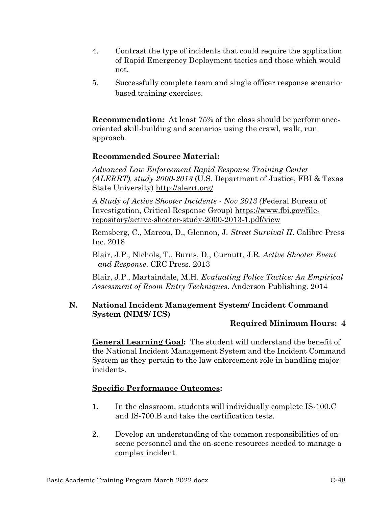- 4. Contrast the type of incidents that could require the application of Rapid Emergency Deployment tactics and those which would not.
- 5. Successfully complete team and single officer response scenariobased training exercises.

**Recommendation:** At least 75% of the class should be performanceoriented skill-building and scenarios using the crawl, walk, run approach.

# **Recommended Source Material:**

*Advanced Law Enforcement Rapid Response Training Center (ALERRT), study 2000-2013* (U.S. Department of Justice, FBI & Texas State University)<http://alerrt.org/>

*A Study of Active Shooter Incidents - Nov 2013 (*Federal Bureau of Investigation, Critical Response Group) [https://www.fbi.gov/file](https://www.fbi.gov/file-repository/active-shooter-study-2000-2013-1.pdf/view)[repository/active-shooter-study-2000-2013-1.pdf/view](https://www.fbi.gov/file-repository/active-shooter-study-2000-2013-1.pdf/view)

Remsberg, C., Marcou, D., Glennon, J. *Street Survival II*. Calibre Press Inc. 2018

Blair, J.P., Nichols, T., Burns, D., Curnutt, J.R. *Active Shooter Event and Response*. CRC Press. 2013

Blair, J.P., Martaindale, M.H. *Evaluating Police Tactics: An Empirical Assessment of Room Entry Techniques*. Anderson Publishing. 2014

# **N. National Incident Management System/ Incident Command System (NIMS/ ICS)**

# **Required Minimum Hours: 4**

**General Learning Goal:** The student will understand the benefit of the National Incident Management System and the Incident Command System as they pertain to the law enforcement role in handling major incidents.

- 1. In the classroom, students will individually complete IS-100.C and IS-700.B and take the certification tests.
- 2. Develop an understanding of the common responsibilities of onscene personnel and the on-scene resources needed to manage a complex incident.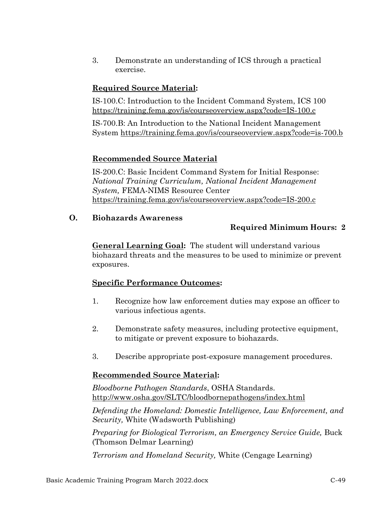3. Demonstrate an understanding of ICS through a practical exercise.

# **Required Source Material:**

IS-100.C: Introduction to the Incident Command System, ICS 100 <https://training.fema.gov/is/courseoverview.aspx?code=IS-100.c>

IS-700.B: An Introduction to the National Incident Management System<https://training.fema.gov/is/courseoverview.aspx?code=is-700.b>

# **Recommended Source Material**

IS-200.C: Basic Incident Command System for Initial Response: *National Training Curriculum, National Incident Management System,* FEMA-NIMS Resource Center <https://training.fema.gov/is/courseoverview.aspx?code=IS-200.c>

# **O. Biohazards Awareness**

# **Required Minimum Hours: 2**

**General Learning Goal:** The student will understand various biohazard threats and the measures to be used to minimize or prevent exposures.

# **Specific Performance Outcomes:**

- 1. Recognize how law enforcement duties may expose an officer to various infectious agents.
- 2. Demonstrate safety measures, including protective equipment, to mitigate or prevent exposure to biohazards.
- 3. Describe appropriate post-exposure management procedures.

# **Recommended Source Material:**

*Bloodborne Pathogen Standards*, OSHA Standards. <http://www.osha.gov/SLTC/bloodbornepathogens/index.html>

*Defending the Homeland: Domestic Intelligence, Law Enforcement, and Security,* White (Wadsworth Publishing)

*Preparing for Biological Terrorism, an Emergency Service Guide, Buck* (Thomson Delmar Learning)

*Terrorism and Homeland Security,* White (Cengage Learning)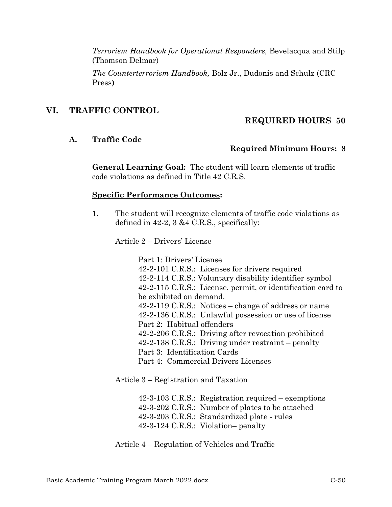*Terrorism Handbook for Operational Responders,* Bevelacqua and Stilp (Thomson Delmar)

*The Counterterrorism Handbook,* Bolz Jr., Dudonis and Schulz (CRC Press**)**

### **VI. TRAFFIC CONTROL**

### **REQUIRED HOURS 50**

#### **A. Traffic Code**

### **Required Minimum Hours: 8**

**General Learning Goal:** The student will learn elements of traffic code violations as defined in Title 42 C.R.S.

#### **Specific Performance Outcomes:**

1. The student will recognize elements of traffic code violations as defined in 42-2, 3 &4 C.R.S., specifically:

Article 2 – Drivers' License

Part 1: Drivers' License 42-2*-*101 C.R.S.: Licenses for drivers required 42-2-114 C.R.S.: Voluntary disability identifier symbol 42-2-115 C.R.S.: License, permit, or identification card to be exhibited on demand. 42-2*-*119 C.R.S.: Notices – change of address or name 42-2*-*136 C.R.S.: Unlawful possession or use of license Part 2: Habitual offenders 42-2*-*206 C.R.S.: Driving after revocation prohibited 42-2-138 C.R.S.: Driving under restraint – penalty Part 3: Identification Cards Part 4: Commercial Drivers Licenses

Article 3 – Registration and Taxation

42-3*-*103 C.R.S.: Registration required – exemptions 42-3-202 C.R.S.: Number of plates to be attached 42-3-203 C.R.S.: Standardized plate - rules 42-3-124 C.R.S.: Violation– penalty

Article 4 – Regulation of Vehicles and Traffic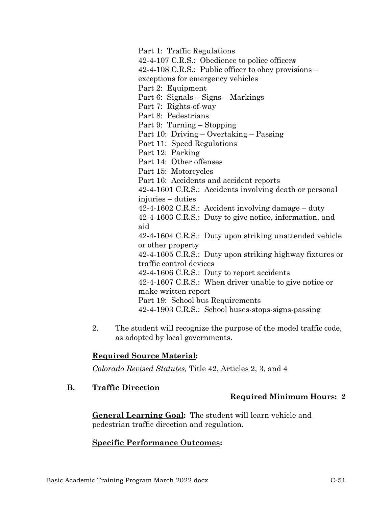Part 1: Traffic Regulations 42-4*-*107 C.R.S.: Obedience to police officer*s* 42-4*-*108 C.R.S.: Public officer to obey provisions – exceptions for emergency vehicles Part 2: Equipment Part 6: Signals – Signs – Markings Part 7: Rights-of-way Part 8: Pedestrians Part 9: Turning – Stopping Part 10: Driving – Overtaking – Passing Part 11: Speed Regulations Part 12: Parking Part 14: Other offenses Part 15: Motorcycles Part 16: Accidents and accident reports 42-4-1601 C.R.S.: Accidents involving death or personal injuries – duties 42*-*4-1602 C.R.S.: Accident involving damage – duty 42-4-1603 C.R.S.: Duty to give notice, information, and aid 42-4-1604 C.R.S.: Duty upon striking unattended vehicle or other property 42-4-1605 C.R.S.: Duty upon striking highway fixtures or traffic control devices 42-4-1606 C.R.S.: Duty to report accidents 42-4-1607 C.R.S.: When driver unable to give notice or make written report Part 19: School bus Requirements 42-4-1903 C.R.S.: School buses-stops-signs-passing

2. The student will recognize the purpose of the model traffic code, as adopted by local governments.

# **Required Source Material:**

*Colorado Revised Statutes,* Title 42, Articles 2, 3, and 4

**B. Traffic Direction**

# **Required Minimum Hours: 2**

**General Learning Goal:** The student will learn vehicle and pedestrian traffic direction and regulation.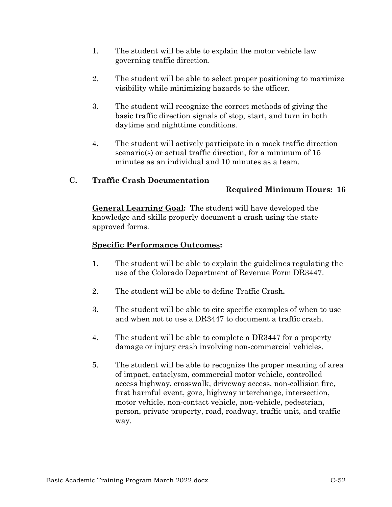- 1. The student will be able to explain the motor vehicle law governing traffic direction.
- 2. The student will be able to select proper positioning to maximize visibility while minimizing hazards to the officer.
- 3. The student will recognize the correct methods of giving the basic traffic direction signals of stop, start, and turn in both daytime and nighttime conditions.
- 4. The student will actively participate in a mock traffic direction scenario(s) or actual traffic direction, for a minimum of 15 minutes as an individual and 10 minutes as a team.

### **C. Traffic Crash Documentation**

# **Required Minimum Hours: 16**

**General Learning Goal:** The student will have developed the knowledge and skills properly document a crash using the state approved forms.

- 1. The student will be able to explain the guidelines regulating the use of the Colorado Department of Revenue Form DR3447.
- 2. The student will be able to define Traffic Crash*.*
- 3. The student will be able to cite specific examples of when to use and when not to use a DR3447 to document a traffic crash.
- 4. The student will be able to complete a DR3447 for a property damage or injury crash involving non-commercial vehicles.
- 5. The student will be able to recognize the proper meaning of area of impact, cataclysm, commercial motor vehicle, controlled access highway, crosswalk, driveway access, non-collision fire, first harmful event, gore, highway interchange, intersection, motor vehicle, non-contact vehicle, non-vehicle, pedestrian, person, private property, road, roadway, traffic unit, and traffic way.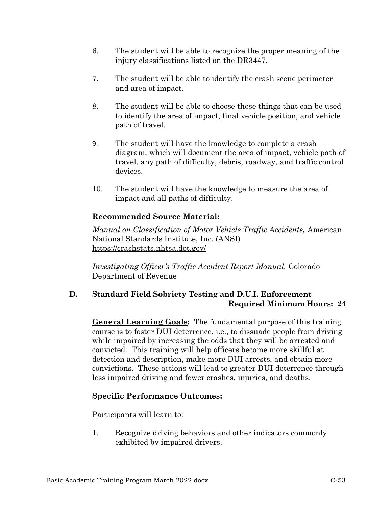- 6. The student will be able to recognize the proper meaning of the injury classifications listed on the DR3447.
- 7. The student will be able to identify the crash scene perimeter and area of impact.
- 8. The student will be able to choose those things that can be used to identify the area of impact, final vehicle position, and vehicle path of travel.
- 9. The student will have the knowledge to complete a crash diagram, which will document the area of impact, vehicle path of travel, any path of difficulty, debris, roadway, and traffic control devices.
- 10. The student will have the knowledge to measure the area of impact and all paths of difficulty.

# **Recommended Source Material:**

*Manual on Classification of Motor Vehicle Traffic Accidents,* American National Standards Institute, Inc. (ANSI) <https://crashstats.nhtsa.dot.gov/>

*Investigating Officer's Traffic Accident Report Manual,* Colorado Department of Revenue

# **D. Standard Field Sobriety Testing and D.U.I. Enforcement Required Minimum Hours: 24**

**General Learning Goals:** The fundamental purpose of this training course is to foster DUI deterrence, i.e., to dissuade people from driving while impaired by increasing the odds that they will be arrested and convicted. This training will help officers become more skillful at detection and description, make more DUI arrests, and obtain more convictions. These actions will lead to greater DUI deterrence through less impaired driving and fewer crashes, injuries, and deaths.

# **Specific Performance Outcomes:**

Participants will learn to:

1. Recognize driving behaviors and other indicators commonly exhibited by impaired drivers.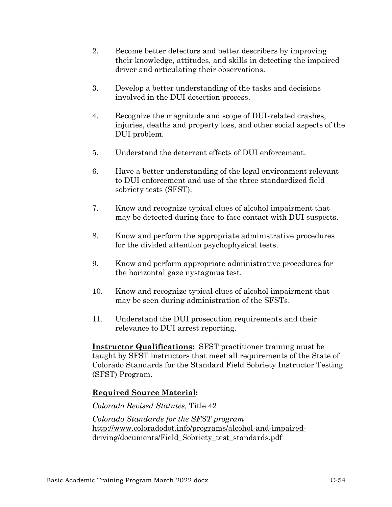- 2. Become better detectors and better describers by improving their knowledge, attitudes, and skills in detecting the impaired driver and articulating their observations.
- 3. Develop a better understanding of the tasks and decisions involved in the DUI detection process.
- 4. Recognize the magnitude and scope of DUI-related crashes, injuries, deaths and property loss, and other social aspects of the DUI problem.
- 5. Understand the deterrent effects of DUI enforcement.
- 6. Have a better understanding of the legal environment relevant to DUI enforcement and use of the three standardized field sobriety tests (SFST).
- 7. Know and recognize typical clues of alcohol impairment that may be detected during face-to-face contact with DUI suspects.
- 8. Know and perform the appropriate administrative procedures for the divided attention psychophysical tests.
- 9. Know and perform appropriate administrative procedures for the horizontal gaze nystagmus test.
- 10. Know and recognize typical clues of alcohol impairment that may be seen during administration of the SFSTs.
- 11. Understand the DUI prosecution requirements and their relevance to DUI arrest reporting.

**Instructor Qualifications:** SFST practitioner training must be taught by SFST instructors that meet all requirements of the State of Colorado Standards for the Standard Field Sobriety Instructor Testing (SFST) Program.

# **Required Source Material:**

### *Colorado Revised Statutes,* Title 42

*Colorado Standards for the SFST program*  [http://www.coloradodot.info/programs/alcohol-and-impaired](http://www.coloradodot.info/programs/alcohol-and-impaired-%20driving/documents/Field_Sobriety_test_standards.pdf)[driving/documents/Field\\_Sobriety\\_test\\_standards.pdf](http://www.coloradodot.info/programs/alcohol-and-impaired-%20driving/documents/Field_Sobriety_test_standards.pdf)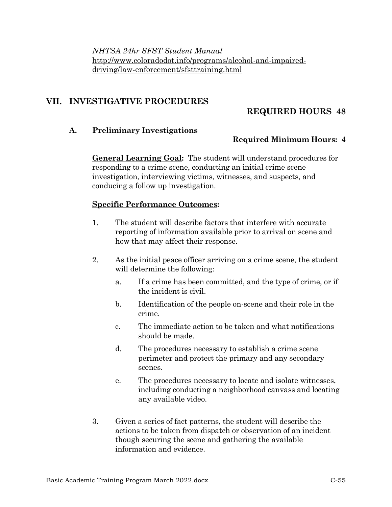*NHTSA 24hr SFST Student Manual*  [http://www.coloradodot.info/programs/alcohol-and-impaired](http://www.coloradodot.info/programs/alcohol-and-impaired-driving/law-enforcement/sfsttraining.html)[driving/law-enforcement/sfsttraining.html](http://www.coloradodot.info/programs/alcohol-and-impaired-driving/law-enforcement/sfsttraining.html)

# **VII. INVESTIGATIVE PROCEDURES**

# **REQUIRED HOURS 48**

### **A. Preliminary Investigations**

### **Required Minimum Hours: 4**

**General Learning Goal:** The student will understand procedures for responding to a crime scene, conducting an initial crime scene investigation, interviewing victims, witnesses, and suspects, and conducing a follow up investigation.

- 1. The student will describe factors that interfere with accurate reporting of information available prior to arrival on scene and how that may affect their response.
- 2. As the initial peace officer arriving on a crime scene, the student will determine the following:
	- a. If a crime has been committed, and the type of crime, or if the incident is civil.
	- b. Identification of the people on-scene and their role in the crime.
	- c. The immediate action to be taken and what notifications should be made.
	- d. The procedures necessary to establish a crime scene perimeter and protect the primary and any secondary scenes.
	- e. The procedures necessary to locate and isolate witnesses, including conducting a neighborhood canvass and locating any available video.
- 3. Given a series of fact patterns, the student will describe the actions to be taken from dispatch or observation of an incident though securing the scene and gathering the available information and evidence.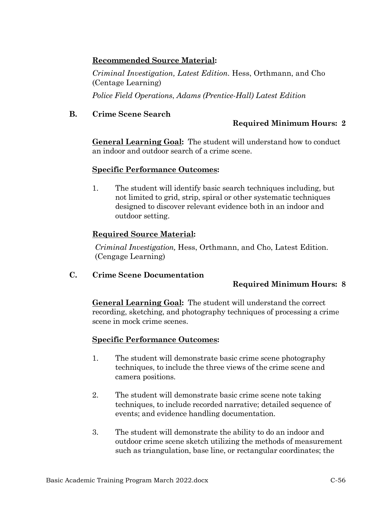# **Recommended Source Material:**

*Criminal Investigation, Latest Edition.* Hess, Orthmann, and Cho (Centage Learning)

*Police Field Operations*, *Adams (Prentice-Hall) Latest Edition*

# **B. Crime Scene Search**

### **Required Minimum Hours: 2**

**General Learning Goal:** The student will understand how to conduct an indoor and outdoor search of a crime scene.

### **Specific Performance Outcomes:**

1. The student will identify basic search techniques including, but not limited to grid, strip, spiral or other systematic techniques designed to discover relevant evidence both in an indoor and outdoor setting.

# **Required Source Material:**

*Criminal Investigation,* Hess, Orthmann, and Cho, Latest Edition. (Cengage Learning)

### **C. Crime Scene Documentation**

# **Required Minimum Hours: 8**

**General Learning Goal:** The student will understand the correct recording, sketching, and photography techniques of processing a crime scene in mock crime scenes.

- 1. The student will demonstrate basic crime scene photography techniques, to include the three views of the crime scene and camera positions.
- 2. The student will demonstrate basic crime scene note taking techniques, to include recorded narrative; detailed sequence of events; and evidence handling documentation.
- 3. The student will demonstrate the ability to do an indoor and outdoor crime scene sketch utilizing the methods of measurement such as triangulation, base line, or rectangular coordinates; the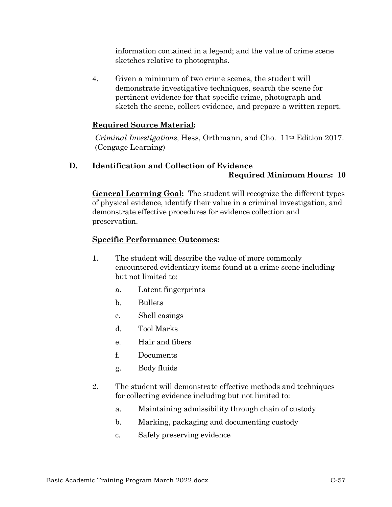information contained in a legend; and the value of crime scene sketches relative to photographs.

4. Given a minimum of two crime scenes, the student will demonstrate investigative techniques, search the scene for pertinent evidence for that specific crime, photograph and sketch the scene, collect evidence, and prepare a written report.

### **Required Source Material:**

*Criminal Investigations,* Hess, Orthmann, and Cho. 11th Edition 2017. (Cengage Learning)

# **D. Identification and Collection of Evidence Required Minimum Hours: 10**

**General Learning Goal:** The student will recognize the different types of physical evidence, identify their value in a criminal investigation, and demonstrate effective procedures for evidence collection and preservation.

- 1. The student will describe the value of more commonly encountered evidentiary items found at a crime scene including but not limited to:
	- a. Latent fingerprints
	- b. Bullets
	- c. Shell casings
	- d. Tool Marks
	- e. Hair and fibers
	- f. Documents
	- g. Body fluids
- 2. The student will demonstrate effective methods and techniques for collecting evidence including but not limited to:
	- a. Maintaining admissibility through chain of custody
	- b. Marking, packaging and documenting custody
	- c. Safely preserving evidence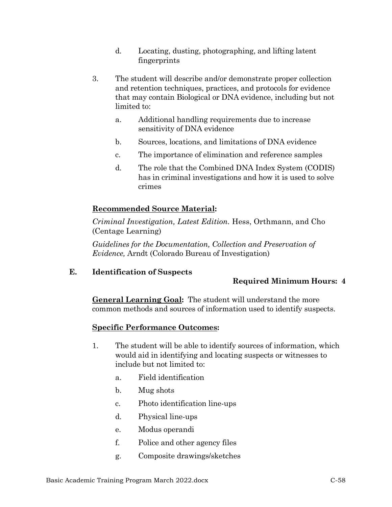- d. Locating, dusting, photographing, and lifting latent fingerprints
- 3. The student will describe and/or demonstrate proper collection and retention techniques, practices, and protocols for evidence that may contain Biological or DNA evidence, including but not limited to:
	- a. Additional handling requirements due to increase sensitivity of DNA evidence
	- b. Sources, locations, and limitations of DNA evidence
	- c. The importance of elimination and reference samples
	- d. The role that the Combined DNA Index System (CODIS) has in criminal investigations and how it is used to solve crimes

# **Recommended Source Material:**

*Criminal Investigation, Latest Edition.* Hess, Orthmann, and Cho (Centage Learning)

*Guidelines for the Documentation, Collection and Preservation of Evidence,* Arndt (Colorado Bureau of Investigation)

**E. Identification of Suspects**

# **Required Minimum Hours: 4**

**General Learning Goal:** The student will understand the more common methods and sources of information used to identify suspects.

- 1. The student will be able to identify sources of information, which would aid in identifying and locating suspects or witnesses to include but not limited to:
	- a. Field identification
	- b. Mug shots
	- c. Photo identification line-ups
	- d. Physical line-ups
	- e. Modus operandi
	- f. Police and other agency files
	- g. Composite drawings/sketches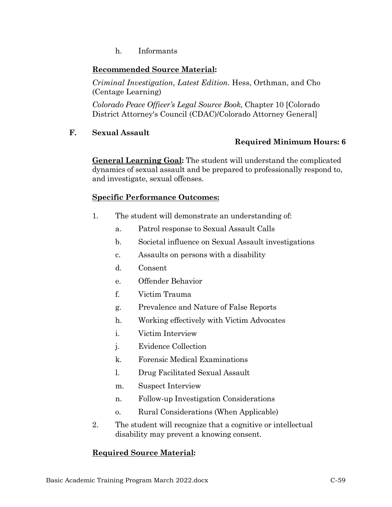h. Informants

# **Recommended Source Material:**

*Criminal Investigation, Latest Edition.* Hess, Orthman, and Cho (Centage Learning)

*Colorado Peace Officer's Legal Source Book,* Chapter 10 [Colorado District Attorney's Council (CDAC)/Colorado Attorney General]

### **F. Sexual Assault**

# **Required Minimum Hours: 6**

**General Learning Goal:** The student will understand the complicated dynamics of sexual assault and be prepared to professionally respond to, and investigate, sexual offenses.

### **Specific Performance Outcomes:**

- 1. The student will demonstrate an understanding of:
	- a. Patrol response to Sexual Assault Calls
	- b. Societal influence on Sexual Assault investigations
	- c. Assaults on persons with a disability
	- d. Consent
	- e. Offender Behavior
	- f. Victim Trauma
	- g. Prevalence and Nature of False Reports
	- h. Working effectively with Victim Advocates
	- i. Victim Interview
	- j. Evidence Collection
	- k. Forensic Medical Examinations
	- l. Drug Facilitated Sexual Assault
	- m. Suspect Interview
	- n. Follow-up Investigation Considerations
	- o. Rural Considerations (When Applicable)
- 2. The student will recognize that a cognitive or intellectual disability may prevent a knowing consent.

# **Required Source Material:**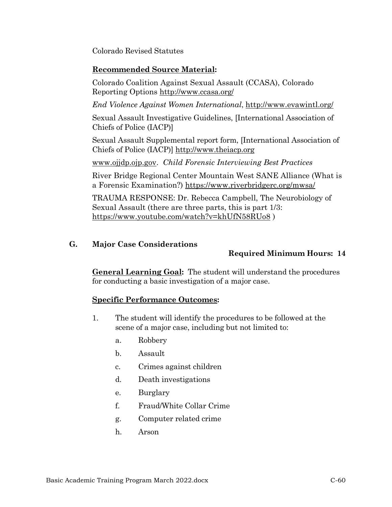Colorado Revised Statutes

### **Recommended Source Material:**

Colorado Coalition Against Sexual Assault (CCASA), Colorado Reporting Options <http://www.ccasa.org/>

*End Violence Against Women International*,<http://www.evawintl.org/>

Sexual Assault Investigative Guidelines, [International Association of Chiefs of Police (IACP)]

Sexual Assault Supplemental report form, [International Association of Chiefs of Police (IACP)] [http://www.theiacp.org](http://www.theiacp.org/)

[www.ojjdp.ojp.gov.](http://www.ojjdp.ojp.gov/) *Child Forensic Interviewing Best Practices*

River Bridge Regional Center Mountain West SANE Alliance (What is a Forensic Examination?) <https://www.riverbridgerc.org/mwsa/>

TRAUMA RESPONSE: Dr. Rebecca Campbell, The Neurobiology of Sexual Assault (there are three parts, this is part 1/3: <https://www.youtube.com/watch?v=khUfN58RUo8> )

### **G. Major Case Considerations**

# **Required Minimum Hours: 14**

**General Learning Goal:** The student will understand the procedures for conducting a basic investigation of a major case.

- 1. The student will identify the procedures to be followed at the scene of a major case, including but not limited to:
	- a. Robbery
	- b. Assault
	- c. Crimes against children
	- d. Death investigations
	- e. Burglary
	- f. Fraud/White Collar Crime
	- g. Computer related crime
	- h. Arson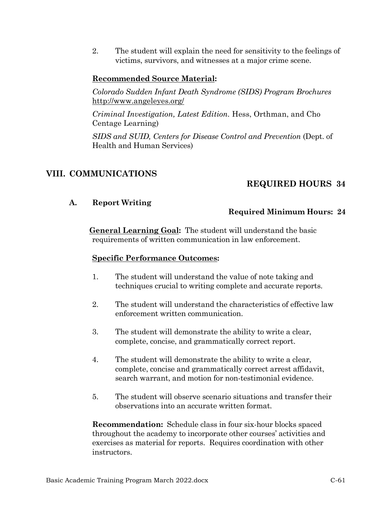2. The student will explain the need for sensitivity to the feelings of victims, survivors, and witnesses at a major crime scene.

# **Recommended Source Material:**

*Colorado Sudden Infant Death Syndrome (SIDS) Program Brochures* <http://www.angeleyes.org/>

*Criminal Investigation, Latest Edition.* Hess, Orthman, and Cho Centage Learning)

*SIDS and SUID, Centers for Disease Control and Prevention* (Dept. of Health and Human Services)

# **VIII. COMMUNICATIONS**

# **REQUIRED HOURS 34**

### **A. Report Writing**

### **Required Minimum Hours: 24**

**General Learning Goal:** The student will understand the basic requirements of written communication in law enforcement.

### **Specific Performance Outcomes:**

- 1. The student will understand the value of note taking and techniques crucial to writing complete and accurate reports.
- 2. The student will understand the characteristics of effective law enforcement written communication.
- 3. The student will demonstrate the ability to write a clear, complete, concise, and grammatically correct report.
- 4. The student will demonstrate the ability to write a clear, complete, concise and grammatically correct arrest affidavit, search warrant, and motion for non-testimonial evidence.
- 5. The student will observe scenario situations and transfer their observations into an accurate written format.

**Recommendation:** Schedule class in four six-hour blocks spaced throughout the academy to incorporate other courses' activities and exercises as material for reports. Requires coordination with other instructors.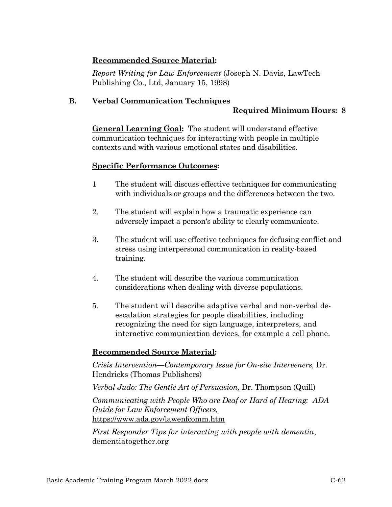# **Recommended Source Material:**

*Report Writing for Law Enforcement* (Joseph N. Davis, LawTech Publishing Co., Ltd, January 15, 1998)

# **B. Verbal Communication Techniques**

# **Required Minimum Hours: 8**

**General Learning Goal:** The student will understand effective communication techniques for interacting with people in multiple contexts and with various emotional states and disabilities.

# **Specific Performance Outcomes:**

- 1 The student will discuss effective techniques for communicating with individuals or groups and the differences between the two.
- 2. The student will explain how a traumatic experience can adversely impact a person's ability to clearly communicate.
- 3. The student will use effective techniques for defusing conflict and stress using interpersonal communication in reality-based training.
- 4. The student will describe the various communication considerations when dealing with diverse populations.
- 5. The student will describe adaptive verbal and non-verbal deescalation strategies for people disabilities, including recognizing the need for sign language, interpreters, and interactive communication devices, for example a cell phone.

# **Recommended Source Material:**

*Crisis Intervention—Contemporary Issue for On-site Interveners,* Dr. Hendricks (Thomas Publishers)

*Verbal Judo: The Gentle Art of Persuasion,* Dr. Thompson (Quill) *Communicating with People Who are Deaf or Hard of Hearing: ADA Guide for Law Enforcement Officers,*  <https://www.ada.gov/lawenfcomm.htm>

*First Responder Tips for interacting with people with dementia*, dementiatogether.org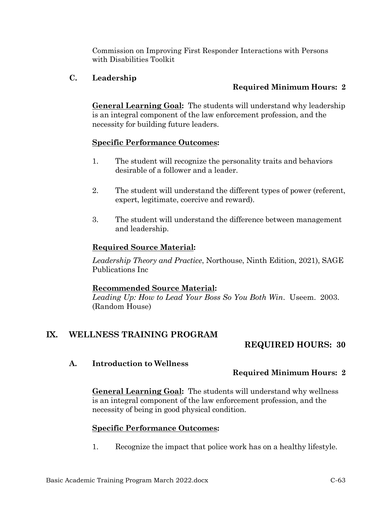Commission on Improving First Responder Interactions with Persons with Disabilities Toolkit

# **C. Leadership**

# **Required Minimum Hours: 2**

**General Learning Goal:** The students will understand why leadership is an integral component of the law enforcement profession, and the necessity for building future leaders.

### **Specific Performance Outcomes:**

- 1. The student will recognize the personality traits and behaviors desirable of a follower and a leader.
- 2. The student will understand the different types of power (referent, expert, legitimate, coercive and reward).
- 3. The student will understand the difference between management and leadership.

# **Required Source Material:**

*Leadership Theory and Practice*, Northouse, Ninth Edition, 2021), SAGE Publications Inc

# **Recommended Source Material:**

*Leading Up: How to Lead Your Boss So You Both Win*. Useem. 2003. (Random House)

# **IX. WELLNESS TRAINING PROGRAM**

# **REQUIRED HOURS: 30**

# **A. Introduction to Wellness**

# **Required Minimum Hours: 2**

**General Learning Goal:** The students will understand why wellness is an integral component of the law enforcement profession, and the necessity of being in good physical condition.

# **Specific Performance Outcomes:**

1. Recognize the impact that police work has on a healthy lifestyle.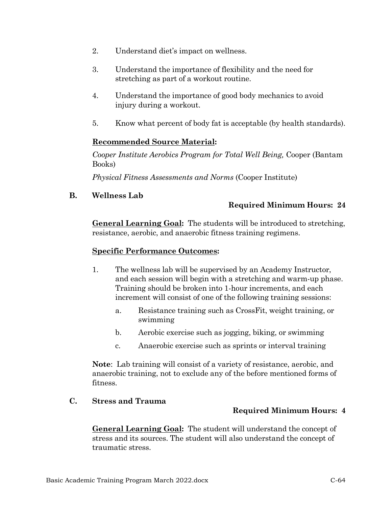- 2. Understand diet's impact on wellness.
- 3. Understand the importance of flexibility and the need for stretching as part of a workout routine.
- 4. Understand the importance of good body mechanics to avoid injury during a workout.
- 5. Know what percent of body fat is acceptable (by health standards).

# **Recommended Source Material:**

*Cooper Institute Aerobics Program for Total Well Being,* Cooper (Bantam Books)

*Physical Fitness Assessments and Norms* (Cooper Institute)

# **B. Wellness Lab**

# **Required Minimum Hours: 24**

**General Learning Goal:** The students will be introduced to stretching, resistance, aerobic, and anaerobic fitness training regimens.

# **Specific Performance Outcomes:**

- 1. The wellness lab will be supervised by an Academy Instructor, and each session will begin with a stretching and warm-up phase. Training should be broken into 1-hour increments, and each increment will consist of one of the following training sessions:
	- a. Resistance training such as CrossFit, weight training, or swimming
	- b. Aerobic exercise such as jogging, biking, or swimming
	- c. Anaerobic exercise such as sprints or interval training

**Note**: Lab training will consist of a variety of resistance, aerobic, and anaerobic training, not to exclude any of the before mentioned forms of fitness.

# **C. Stress and Trauma**

# **Required Minimum Hours: 4**

**General Learning Goal:** The student will understand the concept of stress and its sources. The student will also understand the concept of traumatic stress.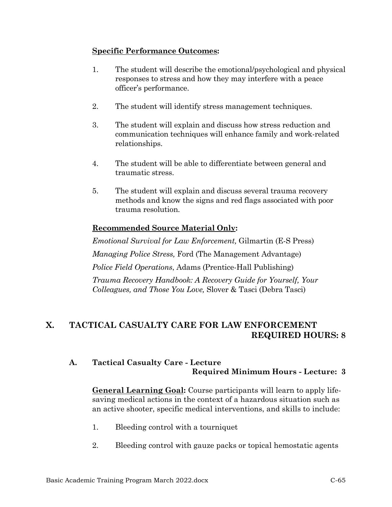### **Specific Performance Outcomes:**

- 1. The student will describe the emotional/psychological and physical responses to stress and how they may interfere with a peace officer's performance.
- 2. The student will identify stress management techniques.
- 3. The student will explain and discuss how stress reduction and communication techniques will enhance family and work-related relationships.
- 4. The student will be able to differentiate between general and traumatic stress.
- 5. The student will explain and discuss several trauma recovery methods and know the signs and red flags associated with poor trauma resolution.

# **Recommended Source Material Only:**

*Emotional Survival for Law Enforcement,* Gilmartin (E-S Press) *Managing Police Stress,* Ford (The Management Advantage) *Police Field Operations*, Adams (Prentice-Hall Publishing) *Trauma Recovery Handbook: A Recovery Guide for Yourself, Your Colleagues, and Those You Love,* Slover & Tasci (Debra Tasci)

# **X. TACTICAL CASUALTY CARE FOR LAW ENFORCEMENT REQUIRED HOURS: 8**

# **A. Tactical Casualty Care - Lecture Required Minimum Hours - Lecture: 3**

**General Learning Goal:** Course participants will learn to apply lifesaving medical actions in the context of a hazardous situation such as an active shooter, specific medical interventions, and skills to include:

- 1. Bleeding control with a tourniquet
- 2. Bleeding control with gauze packs or topical hemostatic agents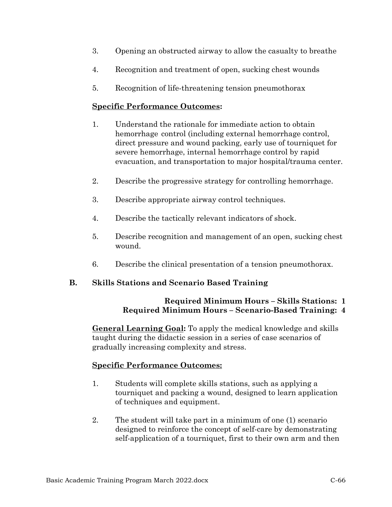- 3. Opening an obstructed airway to allow the casualty to breathe
- 4. Recognition and treatment of open, sucking chest wounds
- 5. Recognition of life-threatening tension pneumothorax

### **Specific Performance Outcomes:**

- 1. Understand the rationale for immediate action to obtain hemorrhage control (including external hemorrhage control, direct pressure and wound packing, early use of tourniquet for severe hemorrhage, internal hemorrhage control by rapid evacuation, and transportation to major hospital/trauma center.
- 2. Describe the progressive strategy for controlling hemorrhage.
- 3. Describe appropriate airway control techniques.
- 4. Describe the tactically relevant indicators of shock.
- 5. Describe recognition and management of an open, sucking chest wound.
- 6. Describe the clinical presentation of a tension pneumothorax.

# **B. Skills Stations and Scenario Based Training**

# **Required Minimum Hours – Skills Stations: 1 Required Minimum Hours – Scenario-Based Training: 4**

**General Learning Goal:** To apply the medical knowledge and skills taught during the didactic session in a series of case scenarios of gradually increasing complexity and stress.

- 1. Students will complete skills stations, such as applying a tourniquet and packing a wound, designed to learn application of techniques and equipment.
- 2. The student will take part in a minimum of one (1) scenario designed to reinforce the concept of self-care by demonstrating self-application of a tourniquet, first to their own arm and then